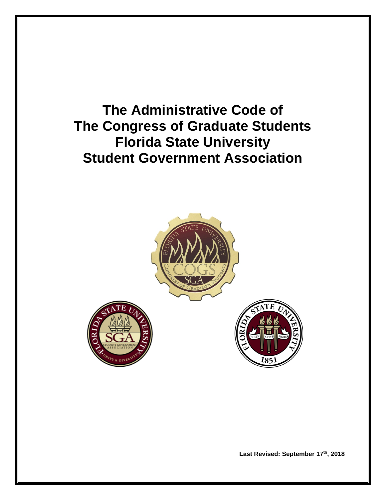**The Administrative Code of The Congress of Graduate Students Florida State University Student Government Association**



Last Revised: September 17<sup>th</sup>, 2018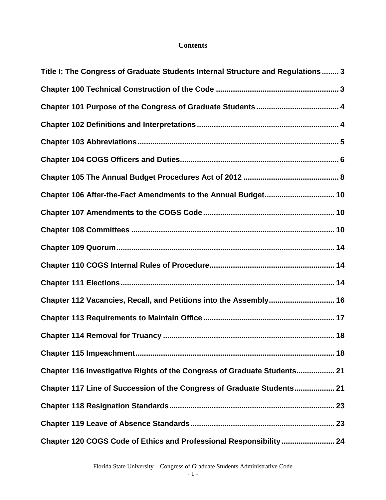# **Contents**

| Title I: The Congress of Graduate Students Internal Structure and Regulations 3 |
|---------------------------------------------------------------------------------|
|                                                                                 |
|                                                                                 |
|                                                                                 |
|                                                                                 |
|                                                                                 |
|                                                                                 |
| Chapter 106 After-the-Fact Amendments to the Annual Budget 10                   |
|                                                                                 |
|                                                                                 |
|                                                                                 |
|                                                                                 |
|                                                                                 |
| Chapter 112 Vacancies, Recall, and Petitions into the Assembly 16               |
|                                                                                 |
|                                                                                 |
|                                                                                 |
| Chapter 116 Investigative Rights of the Congress of Graduate Students 21        |
| Chapter 117 Line of Succession of the Congress of Graduate Students 21          |
|                                                                                 |
|                                                                                 |
| Chapter 120 COGS Code of Ethics and Professional Responsibility  24             |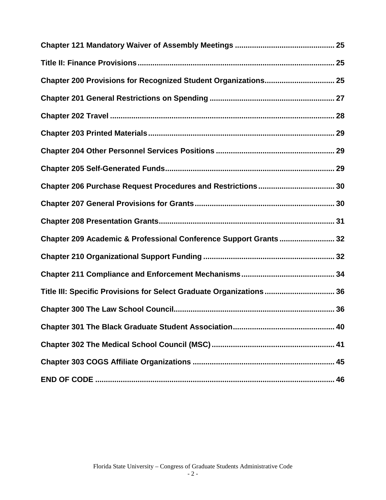| Chapter 200 Provisions for Recognized Student Organizations 25       |  |
|----------------------------------------------------------------------|--|
|                                                                      |  |
|                                                                      |  |
|                                                                      |  |
|                                                                      |  |
|                                                                      |  |
|                                                                      |  |
|                                                                      |  |
|                                                                      |  |
| Chapter 209 Academic & Professional Conference Support Grants 32     |  |
|                                                                      |  |
|                                                                      |  |
| Title III: Specific Provisions for Select Graduate Organizations  36 |  |
|                                                                      |  |
|                                                                      |  |
|                                                                      |  |
|                                                                      |  |
|                                                                      |  |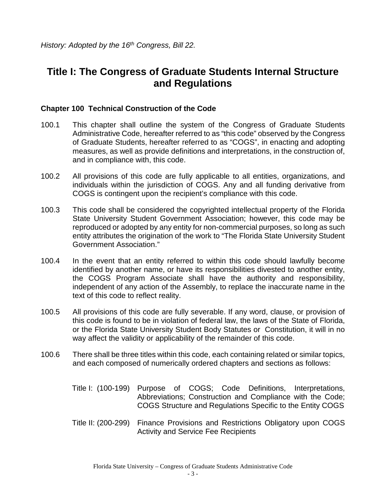# <span id="page-3-0"></span>**Title I: The Congress of Graduate Students Internal Structure and Regulations**

#### <span id="page-3-1"></span>**Chapter 100 Technical Construction of the Code**

- 100.1 This chapter shall outline the system of the Congress of Graduate Students Administrative Code, hereafter referred to as "this code" observed by the Congress of Graduate Students, hereafter referred to as "COGS", in enacting and adopting measures, as well as provide definitions and interpretations, in the construction of, and in compliance with, this code.
- 100.2 All provisions of this code are fully applicable to all entities, organizations, and individuals within the jurisdiction of COGS. Any and all funding derivative from COGS is contingent upon the recipient's compliance with this code.
- 100.3 This code shall be considered the copyrighted intellectual property of the Florida State University Student Government Association; however, this code may be reproduced or adopted by any entity for non-commercial purposes, so long as such entity attributes the origination of the work to "The Florida State University Student Government Association."
- 100.4 In the event that an entity referred to within this code should lawfully become identified by another name, or have its responsibilities divested to another entity, the COGS Program Associate shall have the authority and responsibility, independent of any action of the Assembly, to replace the inaccurate name in the text of this code to reflect reality.
- 100.5 All provisions of this code are fully severable. If any word, clause, or provision of this code is found to be in violation of federal law, the laws of the State of Florida, or the Florida State University Student Body Statutes or Constitution, it will in no way affect the validity or applicability of the remainder of this code.
- 100.6 There shall be three titles within this code, each containing related or similar topics, and each composed of numerically ordered chapters and sections as follows:
	- Title I: (100-199) Purpose of COGS; Code Definitions, Interpretations, Abbreviations; Construction and Compliance with the Code; COGS Structure and Regulations Specific to the Entity COGS
	- Title II: (200-299) Finance Provisions and Restrictions Obligatory upon COGS Activity and Service Fee Recipients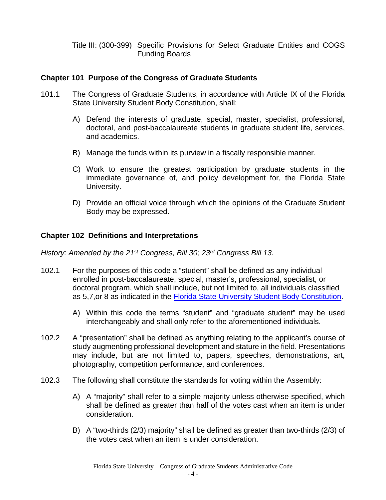Title III: (300-399) Specific Provisions for Select Graduate Entities and COGS Funding Boards

#### <span id="page-4-0"></span>**Chapter 101 Purpose of the Congress of Graduate Students**

- 101.1 The Congress of Graduate Students, in accordance with Article IX of the Florida State University Student Body Constitution, shall:
	- A) Defend the interests of graduate, special, master, specialist, professional, doctoral, and post-baccalaureate students in graduate student life, services, and academics.
	- B) Manage the funds within its purview in a fiscally responsible manner.
	- C) Work to ensure the greatest participation by graduate students in the immediate governance of, and policy development for, the Florida State University.
	- D) Provide an official voice through which the opinions of the Graduate Student Body may be expressed.

## <span id="page-4-1"></span>**Chapter 102 Definitions and Interpretations**

*History: Amended by the 21st Congress, Bill 30; 23rd Congress Bill 13.*

- 102.1 For the purposes of this code a "student" shall be defined as any individual enrolled in post-baccalaureate, special, master's, professional, specialist, or doctoral program, which shall include, but not limited to, all individuals classified as 5,7,or 8 as indicated in the [Florida State University Student Body Constitution.](http://sga.fsu.edu/PDF/CONSTITUTION_OF_THE_STUDENT_BODY.pdf)
	- A) Within this code the terms "student" and "graduate student" may be used interchangeably and shall only refer to the aforementioned individuals.
- 102.2 A "presentation" shall be defined as anything relating to the applicant's course of study augmenting professional development and stature in the field. Presentations may include, but are not limited to, papers, speeches, demonstrations, art, photography, competition performance, and conferences.
- 102.3 The following shall constitute the standards for voting within the Assembly:
	- A) A "majority" shall refer to a simple majority unless otherwise specified, which shall be defined as greater than half of the votes cast when an item is under consideration.
	- B) A "two-thirds (2/3) majority" shall be defined as greater than two-thirds (2/3) of the votes cast when an item is under consideration.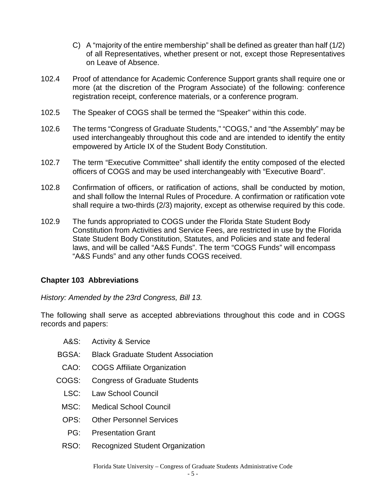- C) A "majority of the entire membership" shall be defined as greater than half (1/2) of all Representatives, whether present or not, except those Representatives on Leave of Absence.
- 102.4 Proof of attendance for Academic Conference Support grants shall require one or more (at the discretion of the Program Associate) of the following: conference registration receipt, conference materials, or a conference program.
- 102.5 The Speaker of COGS shall be termed the "Speaker" within this code.
- 102.6 The terms "Congress of Graduate Students," "COGS," and "the Assembly" may be used interchangeably throughout this code and are intended to identify the entity empowered by Article IX of the Student Body Constitution.
- 102.7 The term "Executive Committee" shall identify the entity composed of the elected officers of COGS and may be used interchangeably with "Executive Board".
- 102.8 Confirmation of officers, or ratification of actions, shall be conducted by motion, and shall follow the Internal Rules of Procedure. A confirmation or ratification vote shall require a two-thirds (2/3) majority, except as otherwise required by this code.
- 102.9 The funds appropriated to COGS under the Florida State Student Body Constitution from Activities and Service Fees, are restricted in use by the Florida State Student Body Constitution, Statutes, and Policies and state and federal laws, and will be called "A&S Funds". The term "COGS Funds" will encompass "A&S Funds" and any other funds COGS received.

# <span id="page-5-0"></span>**Chapter 103 Abbreviations**

*History: Amended by the 23rd Congress, Bill 13.*

The following shall serve as accepted abbreviations throughout this code and in COGS records and papers:

- A&S: Activity & Service
- BGSA: Black Graduate Student Association
- CAO: COGS Affiliate Organization
- COGS: Congress of Graduate Students
	- LSC: Law School Council
	- MSC: Medical School Council
	- OPS: Other Personnel Services
	- PG: Presentation Grant
	- RSO: Recognized Student Organization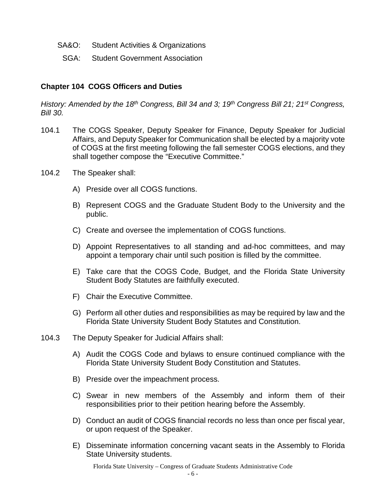- SA&O: Student Activities & Organizations
- SGA: Student Government Association

#### <span id="page-6-0"></span>**Chapter 104 COGS Officers and Duties**

*History: Amended by the 18th Congress, Bill 34 and 3; 19th Congress Bill 21; 21st Congress, Bill 30.*

- 104.1 The COGS Speaker, Deputy Speaker for Finance, Deputy Speaker for Judicial Affairs, and Deputy Speaker for Communication shall be elected by a majority vote of COGS at the first meeting following the fall semester COGS elections, and they shall together compose the "Executive Committee."
- 104.2 The Speaker shall:
	- A) Preside over all COGS functions.
	- B) Represent COGS and the Graduate Student Body to the University and the public.
	- C) Create and oversee the implementation of COGS functions.
	- D) Appoint Representatives to all standing and ad-hoc committees, and may appoint a temporary chair until such position is filled by the committee.
	- E) Take care that the COGS Code, Budget, and the Florida State University Student Body Statutes are faithfully executed.
	- F) Chair the Executive Committee.
	- G) Perform all other duties and responsibilities as may be required by law and the Florida State University Student Body Statutes and Constitution.
- 104.3 The Deputy Speaker for Judicial Affairs shall:
	- A) Audit the COGS Code and bylaws to ensure continued compliance with the Florida State University Student Body Constitution and Statutes.
	- B) Preside over the impeachment process.
	- C) Swear in new members of the Assembly and inform them of their responsibilities prior to their petition hearing before the Assembly.
	- D) Conduct an audit of COGS financial records no less than once per fiscal year, or upon request of the Speaker.
	- E) Disseminate information concerning vacant seats in the Assembly to Florida State University students.

Florida State University – Congress of Graduate Students Administrative Code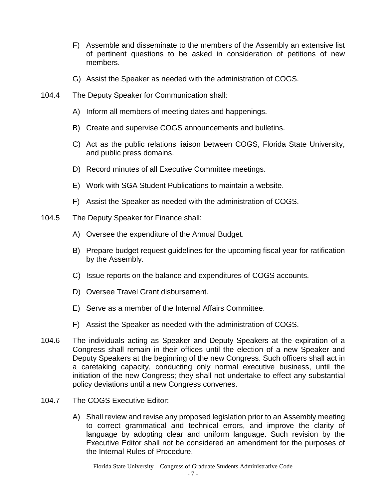- F) Assemble and disseminate to the members of the Assembly an extensive list of pertinent questions to be asked in consideration of petitions of new members.
- G) Assist the Speaker as needed with the administration of COGS.
- 104.4 The Deputy Speaker for Communication shall:
	- A) Inform all members of meeting dates and happenings.
	- B) Create and supervise COGS announcements and bulletins.
	- C) Act as the public relations liaison between COGS, Florida State University, and public press domains.
	- D) Record minutes of all Executive Committee meetings.
	- E) Work with SGA Student Publications to maintain a website.
	- F) Assist the Speaker as needed with the administration of COGS.
- 104.5 The Deputy Speaker for Finance shall:
	- A) Oversee the expenditure of the Annual Budget.
	- B) Prepare budget request guidelines for the upcoming fiscal year for ratification by the Assembly.
	- C) Issue reports on the balance and expenditures of COGS accounts.
	- D) Oversee Travel Grant disbursement.
	- E) Serve as a member of the Internal Affairs Committee.
	- F) Assist the Speaker as needed with the administration of COGS.
- 104.6 The individuals acting as Speaker and Deputy Speakers at the expiration of a Congress shall remain in their offices until the election of a new Speaker and Deputy Speakers at the beginning of the new Congress. Such officers shall act in a caretaking capacity, conducting only normal executive business, until the initiation of the new Congress; they shall not undertake to effect any substantial policy deviations until a new Congress convenes.
- 104.7 The COGS Executive Editor:
	- A) Shall review and revise any proposed legislation prior to an Assembly meeting to correct grammatical and technical errors, and improve the clarity of language by adopting clear and uniform language. Such revision by the Executive Editor shall not be considered an amendment for the purposes of the Internal Rules of Procedure.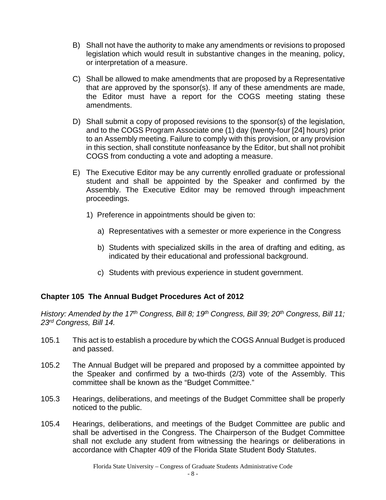- B) Shall not have the authority to make any amendments or revisions to proposed legislation which would result in substantive changes in the meaning, policy, or interpretation of a measure.
- C) Shall be allowed to make amendments that are proposed by a Representative that are approved by the sponsor(s). If any of these amendments are made, the Editor must have a report for the COGS meeting stating these amendments.
- D) Shall submit a copy of proposed revisions to the sponsor(s) of the legislation, and to the COGS Program Associate one (1) day (twenty-four [24] hours) prior to an Assembly meeting. Failure to comply with this provision, or any provision in this section, shall constitute nonfeasance by the Editor, but shall not prohibit COGS from conducting a vote and adopting a measure.
- E) The Executive Editor may be any currently enrolled graduate or professional student and shall be appointed by the Speaker and confirmed by the Assembly. The Executive Editor may be removed through impeachment proceedings.
	- 1) Preference in appointments should be given to:
		- a) Representatives with a semester or more experience in the Congress
		- b) Students with specialized skills in the area of drafting and editing, as indicated by their educational and professional background.
		- c) Students with previous experience in student government.

# <span id="page-8-0"></span>**Chapter 105 The Annual Budget Procedures Act of 2012**

*History: Amended by the 17th Congress, Bill 8; 19th Congress, Bill 39; 20th Congress, Bill 11; 23rd Congress, Bill 14.*

- 105.1 This act is to establish a procedure by which the COGS Annual Budget is produced and passed.
- 105.2 The Annual Budget will be prepared and proposed by a committee appointed by the Speaker and confirmed by a two-thirds (2/3) vote of the Assembly. This committee shall be known as the "Budget Committee."
- 105.3 Hearings, deliberations, and meetings of the Budget Committee shall be properly noticed to the public.
- 105.4 Hearings, deliberations, and meetings of the Budget Committee are public and shall be advertised in the Congress. The Chairperson of the Budget Committee shall not exclude any student from witnessing the hearings or deliberations in accordance with Chapter 409 of the Florida State Student Body Statutes.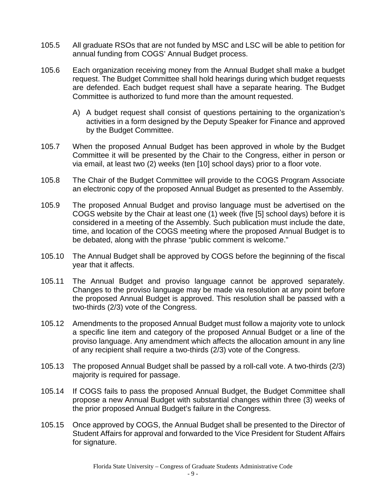- 105.5 All graduate RSOs that are not funded by MSC and LSC will be able to petition for annual funding from COGS' Annual Budget process.
- 105.6 Each organization receiving money from the Annual Budget shall make a budget request. The Budget Committee shall hold hearings during which budget requests are defended. Each budget request shall have a separate hearing. The Budget Committee is authorized to fund more than the amount requested.
	- A) A budget request shall consist of questions pertaining to the organization's activities in a form designed by the Deputy Speaker for Finance and approved by the Budget Committee.
- 105.7 When the proposed Annual Budget has been approved in whole by the Budget Committee it will be presented by the Chair to the Congress, either in person or via email, at least two (2) weeks (ten [10] school days) prior to a floor vote.
- 105.8 The Chair of the Budget Committee will provide to the COGS Program Associate an electronic copy of the proposed Annual Budget as presented to the Assembly.
- 105.9 The proposed Annual Budget and proviso language must be advertised on the COGS website by the Chair at least one (1) week (five [5] school days) before it is considered in a meeting of the Assembly. Such publication must include the date, time, and location of the COGS meeting where the proposed Annual Budget is to be debated, along with the phrase "public comment is welcome."
- 105.10 The Annual Budget shall be approved by COGS before the beginning of the fiscal year that it affects.
- 105.11 The Annual Budget and proviso language cannot be approved separately. Changes to the proviso language may be made via resolution at any point before the proposed Annual Budget is approved. This resolution shall be passed with a two-thirds (2/3) vote of the Congress.
- 105.12 Amendments to the proposed Annual Budget must follow a majority vote to unlock a specific line item and category of the proposed Annual Budget or a line of the proviso language. Any amendment which affects the allocation amount in any line of any recipient shall require a two-thirds (2/3) vote of the Congress.
- 105.13 The proposed Annual Budget shall be passed by a roll-call vote. A two-thirds (2/3) majority is required for passage.
- 105.14 If COGS fails to pass the proposed Annual Budget, the Budget Committee shall propose a new Annual Budget with substantial changes within three (3) weeks of the prior proposed Annual Budget's failure in the Congress.
- 105.15 Once approved by COGS, the Annual Budget shall be presented to the Director of Student Affairs for approval and forwarded to the Vice President for Student Affairs for signature.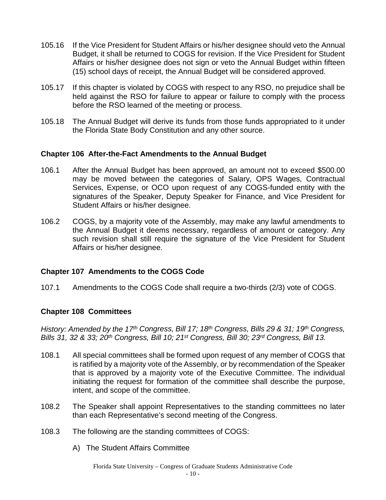- 105.16 If the Vice President for Student Affairs or his/her designee should veto the Annual Budget, it shall be returned to COGS for revision. If the Vice President for Student Affairs or his/her designee does not sign or veto the Annual Budget within fifteen (15) school days of receipt, the Annual Budget will be considered approved.
- 105.17 If this chapter is violated by COGS with respect to any RSO, no prejudice shall be held against the RSO for failure to appear or failure to comply with the process before the RSO learned of the meeting or process.
- 105.18 The Annual Budget will derive its funds from those funds appropriated to it under the Florida State Body Constitution and any other source.

## <span id="page-10-0"></span>**Chapter 106 After-the-Fact Amendments to the Annual Budget**

- 106.1 After the Annual Budget has been approved, an amount not to exceed \$500.00 may be moved between the categories of Salary, OPS Wages, Contractual Services, Expense, or OCO upon request of any COGS-funded entity with the signatures of the Speaker, Deputy Speaker for Finance, and Vice President for Student Affairs or his/her designee.
- 106.2 COGS, by a majority vote of the Assembly, may make any lawful amendments to the Annual Budget it deems necessary, regardless of amount or category. Any such revision shall still require the signature of the Vice President for Student Affairs or his/her designee.

#### <span id="page-10-1"></span>**Chapter 107 Amendments to the COGS Code**

107.1 Amendments to the COGS Code shall require a two-thirds (2/3) vote of COGS.

# <span id="page-10-2"></span>**Chapter 108 Committees**

*History: Amended by the 17th Congress, Bill 17; 18th Congress, Bills 29 & 31; 19th Congress, Bills 31, 32 & 33; 20th Congress, Bill 10; 21st Congress, Bill 30; 23rd Congress, Bill 13.*

- 108.1 All special committees shall be formed upon request of any member of COGS that is ratified by a majority vote of the Assembly, or by recommendation of the Speaker that is approved by a majority vote of the Executive Committee. The individual initiating the request for formation of the committee shall describe the purpose, intent, and scope of the committee.
- 108.2 The Speaker shall appoint Representatives to the standing committees no later than each Representative's second meeting of the Congress.
- 108.3 The following are the standing committees of COGS:
	- A) The Student Affairs Committee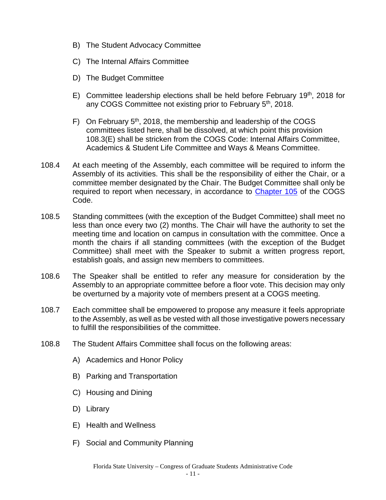- B) The Student Advocacy Committee
- C) The Internal Affairs Committee
- D) The Budget Committee
- E) Committee leadership elections shall be held before February 19<sup>th</sup>, 2018 for any COGS Committee not existing prior to February 5<sup>th</sup>, 2018.
- F) On February  $5<sup>th</sup>$ , 2018, the membership and leadership of the COGS committees listed here, shall be dissolved, at which point this provision 108.3(E) shall be stricken from the COGS Code: Internal Affairs Committee, Academics & Student Life Committee and Ways & Means Committee.
- 108.4 At each meeting of the Assembly, each committee will be required to inform the Assembly of its activities. This shall be the responsibility of either the Chair, or a committee member designated by the Chair. The Budget Committee shall only be required to report when necessary, in accordance to [Chapter 105](#page-8-0) of the COGS Code.
- 108.5 Standing committees (with the exception of the Budget Committee) shall meet no less than once every two (2) months. The Chair will have the authority to set the meeting time and location on campus in consultation with the committee. Once a month the chairs if all standing committees (with the exception of the Budget Committee) shall meet with the Speaker to submit a written progress report, establish goals, and assign new members to committees.
- 108.6 The Speaker shall be entitled to refer any measure for consideration by the Assembly to an appropriate committee before a floor vote. This decision may only be overturned by a majority vote of members present at a COGS meeting.
- 108.7 Each committee shall be empowered to propose any measure it feels appropriate to the Assembly, as well as be vested with all those investigative powers necessary to fulfill the responsibilities of the committee.
- 108.8 The Student Affairs Committee shall focus on the following areas:
	- A) Academics and Honor Policy
	- B) Parking and Transportation
	- C) Housing and Dining
	- D) Library
	- E) Health and Wellness
	- F) Social and Community Planning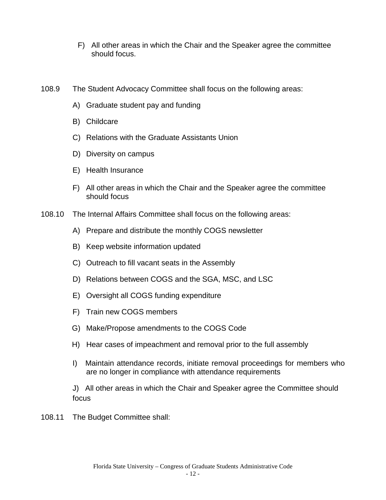- F) All other areas in which the Chair and the Speaker agree the committee should focus.
- 108.9 The Student Advocacy Committee shall focus on the following areas:
	- A) Graduate student pay and funding
	- B) Childcare
	- C) Relations with the Graduate Assistants Union
	- D) Diversity on campus
	- E) Health Insurance
	- F) All other areas in which the Chair and the Speaker agree the committee should focus
- 108.10 The Internal Affairs Committee shall focus on the following areas:
	- A) Prepare and distribute the monthly COGS newsletter
	- B) Keep website information updated
	- C) Outreach to fill vacant seats in the Assembly
	- D) Relations between COGS and the SGA, MSC, and LSC
	- E) Oversight all COGS funding expenditure
	- F) Train new COGS members
	- G) Make/Propose amendments to the COGS Code
	- H) Hear cases of impeachment and removal prior to the full assembly
	- I) Maintain attendance records, initiate removal proceedings for members who are no longer in compliance with attendance requirements

J) All other areas in which the Chair and Speaker agree the Committee should focus

108.11 The Budget Committee shall: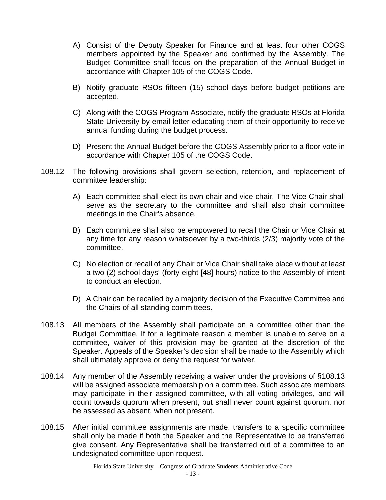- A) Consist of the Deputy Speaker for Finance and at least four other COGS members appointed by the Speaker and confirmed by the Assembly. The Budget Committee shall focus on the preparation of the Annual Budget in accordance with Chapter 105 of the COGS Code.
- B) Notify graduate RSOs fifteen (15) school days before budget petitions are accepted.
- C) Along with the COGS Program Associate, notify the graduate RSOs at Florida State University by email letter educating them of their opportunity to receive annual funding during the budget process.
- D) Present the Annual Budget before the COGS Assembly prior to a floor vote in accordance with Chapter 105 of the COGS Code.
- 108.12 The following provisions shall govern selection, retention, and replacement of committee leadership:
	- A) Each committee shall elect its own chair and vice-chair. The Vice Chair shall serve as the secretary to the committee and shall also chair committee meetings in the Chair's absence.
	- B) Each committee shall also be empowered to recall the Chair or Vice Chair at any time for any reason whatsoever by a two-thirds (2/3) majority vote of the committee.
	- C) No election or recall of any Chair or Vice Chair shall take place without at least a two (2) school days' (forty-eight [48] hours) notice to the Assembly of intent to conduct an election.
	- D) A Chair can be recalled by a majority decision of the Executive Committee and the Chairs of all standing committees.
- 108.13 All members of the Assembly shall participate on a committee other than the Budget Committee. If for a legitimate reason a member is unable to serve on a committee, waiver of this provision may be granted at the discretion of the Speaker. Appeals of the Speaker's decision shall be made to the Assembly which shall ultimately approve or deny the request for waiver.
- 108.14 Any member of the Assembly receiving a waiver under the provisions of §108.13 will be assigned associate membership on a committee. Such associate members may participate in their assigned committee, with all voting privileges, and will count towards quorum when present, but shall never count against quorum, nor be assessed as absent, when not present.
- 108.15 After initial committee assignments are made, transfers to a specific committee shall only be made if both the Speaker and the Representative to be transferred give consent. Any Representative shall be transferred out of a committee to an undesignated committee upon request.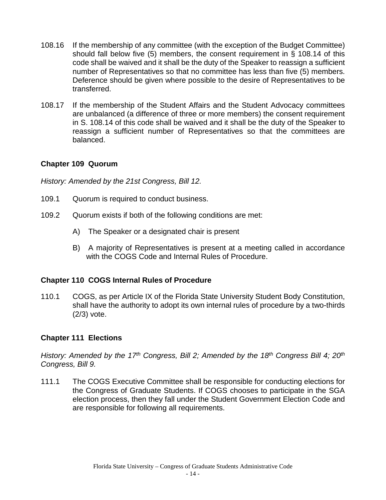- 108.16 If the membership of any committee (with the exception of the Budget Committee) should fall below five (5) members, the consent requirement in § 108.14 of this code shall be waived and it shall be the duty of the Speaker to reassign a sufficient number of Representatives so that no committee has less than five (5) members. Deference should be given where possible to the desire of Representatives to be transferred.
- 108.17 If the membership of the Student Affairs and the Student Advocacy committees are unbalanced (a difference of three or more members) the consent requirement in S. 108.14 of this code shall be waived and it shall be the duty of the Speaker to reassign a sufficient number of Representatives so that the committees are balanced.

# <span id="page-14-0"></span>**Chapter 109 Quorum**

*History: Amended by the 21st Congress, Bill 12.*

- 109.1 Quorum is required to conduct business.
- 109.2 Quorum exists if both of the following conditions are met:
	- A) The Speaker or a designated chair is present
	- B) A majority of Representatives is present at a meeting called in accordance with the COGS Code and Internal Rules of Procedure.

#### <span id="page-14-1"></span>**Chapter 110 COGS Internal Rules of Procedure**

110.1 COGS, as per Article IX of the Florida State University Student Body Constitution, shall have the authority to adopt its own internal rules of procedure by a two-thirds (2/3) vote.

#### <span id="page-14-2"></span>**Chapter 111 Elections**

*History: Amended by the 17th Congress, Bill 2; Amended by the 18th Congress Bill 4; 20th Congress, Bill 9.*

111.1 The COGS Executive Committee shall be responsible for conducting elections for the Congress of Graduate Students. If COGS chooses to participate in the SGA election process, then they fall under the Student Government Election Code and are responsible for following all requirements.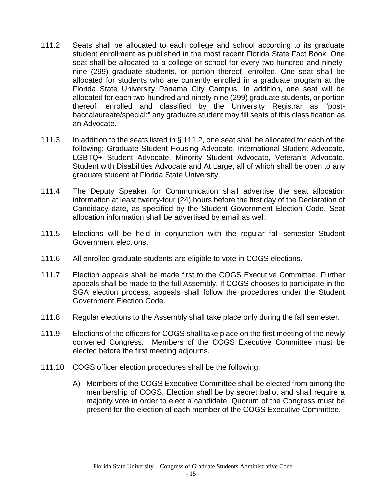- 111.2 Seats shall be allocated to each college and school according to its graduate student enrollment as published in the most recent Florida State Fact Book. One seat shall be allocated to a college or school for every two-hundred and ninetynine (299) graduate students, or portion thereof, enrolled. One seat shall be allocated for students who are currently enrolled in a graduate program at the Florida State University Panama City Campus. In addition, one seat will be allocated for each two-hundred and ninety-nine (299) graduate students, or portion thereof, enrolled and classified by the University Registrar as "postbaccalaureate/special;" any graduate student may fill seats of this classification as an Advocate.
- <span id="page-15-0"></span>111.3 In addition to the seats listed in § 111.2, one seat shall be allocated for each of the following: Graduate Student Housing Advocate, International Student Advocate, LGBTQ+ Student Advocate, Minority Student Advocate, Veteran's Advocate, Student with Disabilities Advocate and At Large, all of which shall be open to any graduate student at Florida State University.
- 111.4 The Deputy Speaker for Communication shall advertise the seat allocation information at least twenty-four (24) hours before the first day of the Declaration of Candidacy date, as specified by the Student Government Election Code. Seat allocation information shall be advertised by email as well.
- 111.5 Elections will be held in conjunction with the regular fall semester Student Government elections.
- 111.6 All enrolled graduate students are eligible to vote in COGS elections.
- 111.7 Election appeals shall be made first to the COGS Executive Committee. Further appeals shall be made to the full Assembly. If COGS chooses to participate in the SGA election process, appeals shall follow the procedures under the Student Government Election Code.
- 111.8 Regular elections to the Assembly shall take place only during the fall semester.
- 111.9 Elections of the officers for COGS shall take place on the first meeting of the newly convened Congress. Members of the COGS Executive Committee must be elected before the first meeting adjourns.
- 111.10 COGS officer election procedures shall be the following:
	- A) Members of the COGS Executive Committee shall be elected from among the membership of COGS. Election shall be by secret ballot and shall require a majority vote in order to elect a candidate. Quorum of the Congress must be present for the election of each member of the COGS Executive Committee.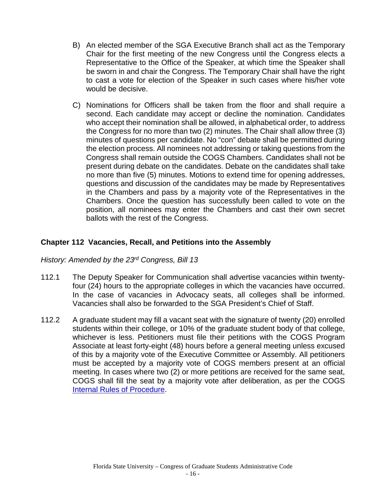- B) An elected member of the SGA Executive Branch shall act as the Temporary Chair for the first meeting of the new Congress until the Congress elects a Representative to the Office of the Speaker, at which time the Speaker shall be sworn in and chair the Congress. The Temporary Chair shall have the right to cast a vote for election of the Speaker in such cases where his/her vote would be decisive.
- C) Nominations for Officers shall be taken from the floor and shall require a second. Each candidate may accept or decline the nomination. Candidates who accept their nomination shall be allowed, in alphabetical order, to address the Congress for no more than two (2) minutes. The Chair shall allow three (3) minutes of questions per candidate. No "con" debate shall be permitted during the election process. All nominees not addressing or taking questions from the Congress shall remain outside the COGS Chambers. Candidates shall not be present during debate on the candidates. Debate on the candidates shall take no more than five (5) minutes. Motions to extend time for opening addresses, questions and discussion of the candidates may be made by Representatives in the Chambers and pass by a majority vote of the Representatives in the Chambers. Once the question has successfully been called to vote on the position, all nominees may enter the Chambers and cast their own secret ballots with the rest of the Congress.

# <span id="page-16-0"></span>**Chapter 112 Vacancies, Recall, and Petitions into the Assembly**

#### *History: Amended by the 23rd Congress, Bill 13*

- 112.1 The Deputy Speaker for Communication shall advertise vacancies within twentyfour (24) hours to the appropriate colleges in which the vacancies have occurred. In the case of vacancies in Advocacy seats, all colleges shall be informed. Vacancies shall also be forwarded to the SGA President's Chief of Staff.
- 112.2 A graduate student may fill a vacant seat with the signature of twenty (20) enrolled students within their college, or 10% of the graduate student body of that college, whichever is less. Petitioners must file their petitions with the COGS Program Associate at least forty-eight (48) hours before a general meeting unless excused of this by a majority vote of the Executive Committee or Assembly. All petitioners must be accepted by a majority vote of COGS members present at an official meeting. In cases where two (2) or more petitions are received for the same seat, COGS shall fill the seat by a majority vote after deliberation, as per the COGS [Internal Rules of Procedure.](http://sga.fsu.edu/cogs/forms/COGS_Internal_Rules.pdf)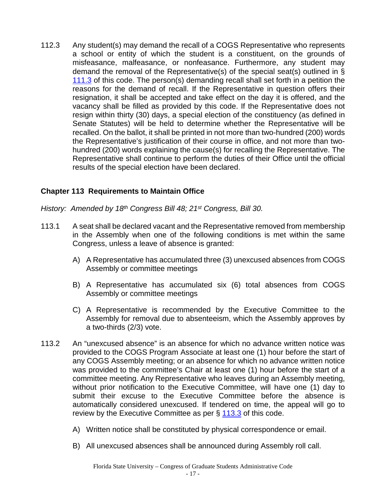112.3 Any student(s) may demand the recall of a COGS Representative who represents a school or entity of which the student is a constituent, on the grounds of misfeasance, malfeasance, or nonfeasance. Furthermore, any student may demand the removal of the Representative(s) of the special seat(s) outlined in § [111.3](#page-15-0) of this code. The person(s) demanding recall shall set forth in a petition the reasons for the demand of recall. If the Representative in question offers their resignation, it shall be accepted and take effect on the day it is offered, and the vacancy shall be filled as provided by this code. If the Representative does not resign within thirty (30) days, a special election of the constituency (as defined in Senate Statutes) will be held to determine whether the Representative will be recalled. On the ballot, it shall be printed in not more than two-hundred (200) words the Representative's justification of their course in office, and not more than twohundred (200) words explaining the cause(s) for recalling the Representative. The Representative shall continue to perform the duties of their Office until the official results of the special election have been declared.

# <span id="page-17-0"></span>**Chapter 113 Requirements to Maintain Office**

*History: Amended by 18th Congress Bill 48; 21st Congress, Bill 30.*

- <span id="page-17-1"></span>113.1 A seat shall be declared vacant and the Representative removed from membership in the Assembly when one of the following conditions is met within the same Congress, unless a leave of absence is granted:
	- A) A Representative has accumulated three (3) unexcused absences from COGS Assembly or committee meetings
	- B) A Representative has accumulated six (6) total absences from COGS Assembly or committee meetings
	- C) A Representative is recommended by the Executive Committee to the Assembly for removal due to absenteeism, which the Assembly approves by a two-thirds (2/3) vote.
- 113.2 An "unexcused absence" is an absence for which no advance written notice was provided to the COGS Program Associate at least one (1) hour before the start of any COGS Assembly meeting; or an absence for which no advance written notice was provided to the committee's Chair at least one (1) hour before the start of a committee meeting. Any Representative who leaves during an Assembly meeting, without prior notification to the Executive Committee, will have one (1) day to submit their excuse to the Executive Committee before the absence is automatically considered unexcused. If tendered on time, the appeal will go to review by the Executive Committee as per § [113.3](#page-18-2) of this code.
	- A) Written notice shall be constituted by physical correspondence or email.
	- B) All unexcused absences shall be announced during Assembly roll call.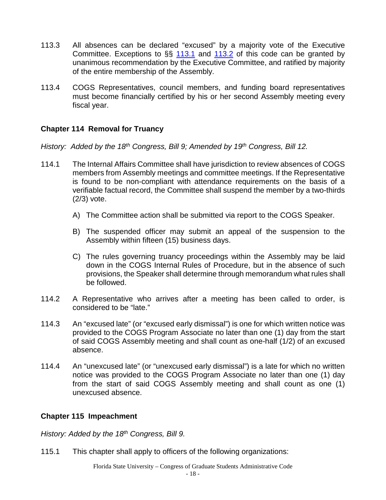- <span id="page-18-2"></span>113.3 All absences can be declared "excused" by a majority vote of the Executive Committee. Exceptions to §§ [113.1](#page-17-1) and [113.2](file://FSU.EDU/CTSMgd/SGA/SGA-COGS/COGS/Data%20from%20SGA%20Server%20S%20Drive/COGS%20Code/unexcused_absence#_An_) of this code can be granted by unanimous recommendation by the Executive Committee, and ratified by majority of the entire membership of the Assembly.
- 113.4 COGS Representatives, council members, and funding board representatives must become financially certified by his or her second Assembly meeting every fiscal year.

## <span id="page-18-0"></span>**Chapter 114 Removal for Truancy**

*History: Added by the 18th Congress, Bill 9; Amended by 19th Congress, Bill 12.*

- 114.1 The Internal Affairs Committee shall have jurisdiction to review absences of COGS members from Assembly meetings and committee meetings. If the Representative is found to be non-compliant with attendance requirements on the basis of a verifiable factual record, the Committee shall suspend the member by a two-thirds (2/3) vote.
	- A) The Committee action shall be submitted via report to the COGS Speaker.
	- B) The suspended officer may submit an appeal of the suspension to the Assembly within fifteen (15) business days.
	- C) The rules governing truancy proceedings within the Assembly may be laid down in the COGS Internal Rules of Procedure, but in the absence of such provisions, the Speaker shall determine through memorandum what rules shall be followed.
- 114.2 A Representative who arrives after a meeting has been called to order, is considered to be "late."
- 114.3 An "excused late" (or "excused early dismissal") is one for which written notice was provided to the COGS Program Associate no later than one (1) day from the start of said COGS Assembly meeting and shall count as one-half (1/2) of an excused absence.
- 114.4 An "unexcused late" (or "unexcused early dismissal") is a late for which no written notice was provided to the COGS Program Associate no later than one (1) day from the start of said COGS Assembly meeting and shall count as one (1) unexcused absence.

#### <span id="page-18-1"></span>**Chapter 115 Impeachment**

*History: Added by the 18th Congress, Bill 9.* 

115.1 This chapter shall apply to officers of the following organizations: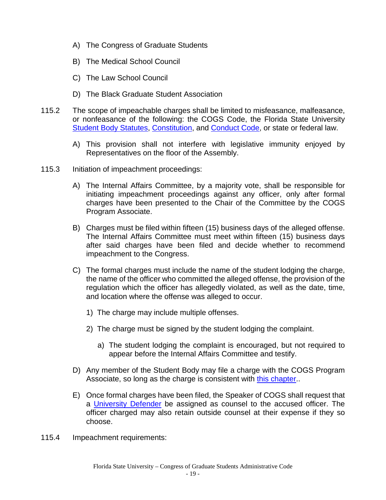- A) The Congress of Graduate Students
- B) The Medical School Council
- C) The Law School Council
- D) The Black Graduate Student Association
- 115.2 The scope of impeachable charges shall be limited to misfeasance, malfeasance, or nonfeasance of the following: the COGS Code, the Florida State University [Student Body Statutes,](http://sga.fsu.edu/statutes/statutes.pdf) [Constitution,](http://sga.fsu.edu/PDF/CONSTITUTION_OF_THE_STUDENT_BODY.pdf) and [Conduct Code,](http://srr.fsu.edu/Student-Conduct-Code) or state or federal law.
	- A) This provision shall not interfere with legislative immunity enjoyed by Representatives on the floor of the Assembly.
- 115.3 Initiation of impeachment proceedings:
	- A) The Internal Affairs Committee, by a majority vote, shall be responsible for initiating impeachment proceedings against any officer, only after formal charges have been presented to the Chair of the Committee by the COGS Program Associate.
	- B) Charges must be filed within fifteen (15) business days of the alleged offense. The Internal Affairs Committee must meet within fifteen (15) business days after said charges have been filed and decide whether to recommend impeachment to the Congress.
	- C) The formal charges must include the name of the student lodging the charge, the name of the officer who committed the alleged offense, the provision of the regulation which the officer has allegedly violated, as well as the date, time, and location where the offense was alleged to occur.
		- 1) The charge may include multiple offenses.
		- 2) The charge must be signed by the student lodging the complaint.
			- a) The student lodging the complaint is encouraged, but not required to appear before the Internal Affairs Committee and testify.
	- D) Any member of the Student Body may file a charge with the COGS Program Associate, so long as the charge is consistent with this chapter..
	- E) Once formal charges have been filed, the Speaker of COGS shall request that a [University Defender](http://sga.fsu.edu/?page_id=366) be assigned as counsel to the accused officer. The officer charged may also retain outside counsel at their expense if they so choose.
- 115.4 Impeachment requirements: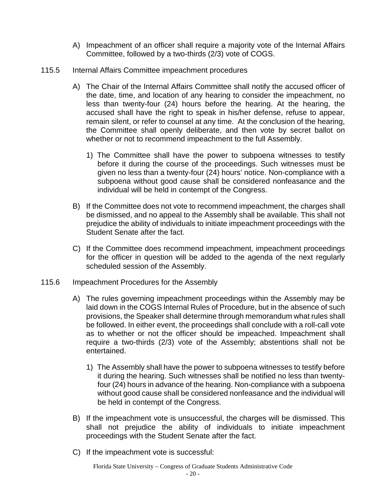- A) Impeachment of an officer shall require a majority vote of the Internal Affairs Committee, followed by a two-thirds (2/3) vote of COGS.
- 115.5 Internal Affairs Committee impeachment procedures
	- A) The Chair of the Internal Affairs Committee shall notify the accused officer of the date, time, and location of any hearing to consider the impeachment, no less than twenty-four (24) hours before the hearing. At the hearing, the accused shall have the right to speak in his/her defense, refuse to appear, remain silent, or refer to counsel at any time. At the conclusion of the hearing, the Committee shall openly deliberate, and then vote by secret ballot on whether or not to recommend impeachment to the full Assembly.
		- 1) The Committee shall have the power to subpoena witnesses to testify before it during the course of the proceedings. Such witnesses must be given no less than a twenty-four (24) hours' notice. Non-compliance with a subpoena without good cause shall be considered nonfeasance and the individual will be held in contempt of the Congress.
	- B) If the Committee does not vote to recommend impeachment, the charges shall be dismissed, and no appeal to the Assembly shall be available. This shall not prejudice the ability of individuals to initiate impeachment proceedings with the Student Senate after the fact.
	- C) If the Committee does recommend impeachment, impeachment proceedings for the officer in question will be added to the agenda of the next regularly scheduled session of the Assembly.
- 115.6 Impeachment Procedures for the Assembly
	- A) The rules governing impeachment proceedings within the Assembly may be laid down in the COGS Internal Rules of Procedure, but in the absence of such provisions, the Speaker shall determine through memorandum what rules shall be followed. In either event, the proceedings shall conclude with a roll-call vote as to whether or not the officer should be impeached. Impeachment shall require a two-thirds (2/3) vote of the Assembly; abstentions shall not be entertained.
		- 1) The Assembly shall have the power to subpoena witnesses to testify before it during the hearing. Such witnesses shall be notified no less than twentyfour (24) hours in advance of the hearing. Non-compliance with a subpoena without good cause shall be considered nonfeasance and the individual will be held in contempt of the Congress.
	- B) If the impeachment vote is unsuccessful, the charges will be dismissed. This shall not prejudice the ability of individuals to initiate impeachment proceedings with the Student Senate after the fact.
	- C) If the impeachment vote is successful: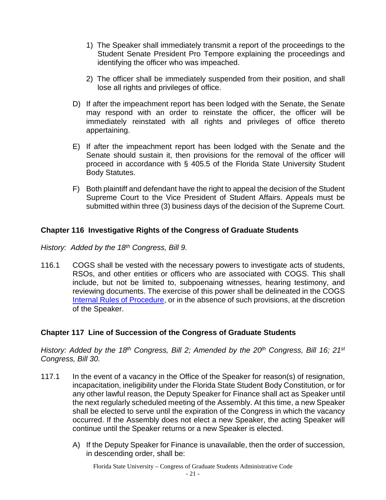- 1) The Speaker shall immediately transmit a report of the proceedings to the Student Senate President Pro Tempore explaining the proceedings and identifying the officer who was impeached.
- 2) The officer shall be immediately suspended from their position, and shall lose all rights and privileges of office.
- D) If after the impeachment report has been lodged with the Senate, the Senate may respond with an order to reinstate the officer, the officer will be immediately reinstated with all rights and privileges of office thereto appertaining.
- E) If after the impeachment report has been lodged with the Senate and the Senate should sustain it, then provisions for the removal of the officer will proceed in accordance with § 405.5 of the Florida State University Student Body Statutes.
- F) Both plaintiff and defendant have the right to appeal the decision of the Student Supreme Court to the Vice President of Student Affairs. Appeals must be submitted within three (3) business days of the decision of the Supreme Court.

# <span id="page-21-0"></span>**Chapter 116 Investigative Rights of the Congress of Graduate Students**

*History: Added by the 18th Congress, Bill 9.*

116.1 COGS shall be vested with the necessary powers to investigate acts of students, RSOs, and other entities or officers who are associated with COGS. This shall include, but not be limited to, subpoenaing witnesses, hearing testimony, and reviewing documents. The exercise of this power shall be delineated in the COGS [Internal Rules of Procedure,](http://sga.fsu.edu/cogs/forms/COGS_Internal_Rules.pdf) or in the absence of such provisions, at the discretion of the Speaker.

# <span id="page-21-1"></span>**Chapter 117 Line of Succession of the Congress of Graduate Students**

*History: Added by the 18th Congress, Bill 2; Amended by the 20th Congress, Bill 16; 21st Congress, Bill 30.*

- 117.1 In the event of a vacancy in the Office of the Speaker for reason(s) of resignation, incapacitation, ineligibility under the Florida State Student Body Constitution, or for any other lawful reason, the Deputy Speaker for Finance shall act as Speaker until the next regularly scheduled meeting of the Assembly. At this time, a new Speaker shall be elected to serve until the expiration of the Congress in which the vacancy occurred. If the Assembly does not elect a new Speaker, the acting Speaker will continue until the Speaker returns or a new Speaker is elected.
	- A) If the Deputy Speaker for Finance is unavailable, then the order of succession, in descending order, shall be:

<span id="page-21-2"></span>Florida State University – Congress of Graduate Students Administrative Code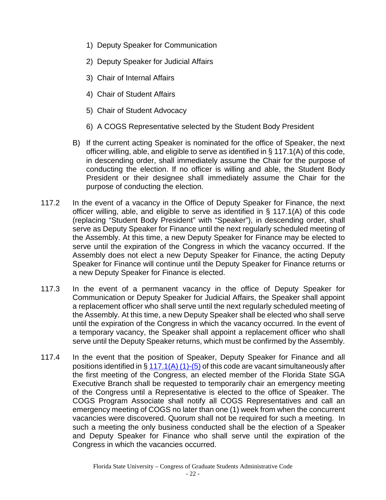- 1) Deputy Speaker for Communication
- 2) Deputy Speaker for Judicial Affairs
- 3) Chair of Internal Affairs
- 4) Chair of Student Affairs
- 5) Chair of Student Advocacy
- 6) A COGS Representative selected by the Student Body President
- B) If the current acting Speaker is nominated for the office of Speaker, the next officer willing, able, and eligible to serve as identified in § 117.1(A) of this code, in descending order, shall immediately assume the Chair for the purpose of conducting the election. If no officer is willing and able, the Student Body President or their designee shall immediately assume the Chair for the purpose of conducting the election.
- 117.2 In the event of a vacancy in the Office of Deputy Speaker for Finance, the next officer willing, able, and eligible to serve as identified in § 117.1(A) of this code (replacing "Student Body President" with "Speaker"), in descending order, shall serve as Deputy Speaker for Finance until the next regularly scheduled meeting of the Assembly. At this time, a new Deputy Speaker for Finance may be elected to serve until the expiration of the Congress in which the vacancy occurred. If the Assembly does not elect a new Deputy Speaker for Finance, the acting Deputy Speaker for Finance will continue until the Deputy Speaker for Finance returns or a new Deputy Speaker for Finance is elected.
- 117.3 In the event of a permanent vacancy in the office of Deputy Speaker for Communication or Deputy Speaker for Judicial Affairs, the Speaker shall appoint a replacement officer who shall serve until the next regularly scheduled meeting of the Assembly. At this time, a new Deputy Speaker shall be elected who shall serve until the expiration of the Congress in which the vacancy occurred. In the event of a temporary vacancy, the Speaker shall appoint a replacement officer who shall serve until the Deputy Speaker returns, which must be confirmed by the Assembly.
- 117.4 In the event that the position of Speaker, Deputy Speaker for Finance and all positions identified in  $\S 117.1(A) (1)$  $\S 117.1(A) (1)$  $\S 117.1(A) (1)$ -(5) of this code are vacant simultaneously after the first meeting of the Congress, an elected member of the Florida State SGA Executive Branch shall be requested to temporarily chair an emergency meeting of the Congress until a Representative is elected to the office of Speaker. The COGS Program Associate shall notify all COGS Representatives and call an emergency meeting of COGS no later than one (1) week from when the concurrent vacancies were discovered. Quorum shall not be required for such a meeting. In such a meeting the only business conducted shall be the election of a Speaker and Deputy Speaker for Finance who shall serve until the expiration of the Congress in which the vacancies occurred.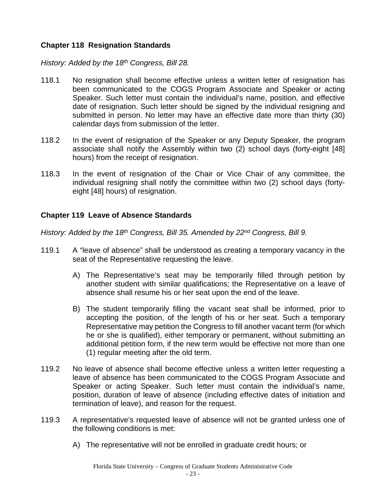## <span id="page-23-0"></span>**Chapter 118 Resignation Standards**

*History: Added by the 18th Congress, Bill 28.*

- 118.1 No resignation shall become effective unless a written letter of resignation has been communicated to the COGS Program Associate and Speaker or acting Speaker. Such letter must contain the individual's name, position, and effective date of resignation. Such letter should be signed by the individual resigning and submitted in person. No letter may have an effective date more than thirty (30) calendar days from submission of the letter.
- 118.2 In the event of resignation of the Speaker or any Deputy Speaker, the program associate shall notify the Assembly within two (2) school days (forty-eight [48] hours) from the receipt of resignation.
- 118.3 In the event of resignation of the Chair or Vice Chair of any committee, the individual resigning shall notify the committee within two (2) school days (fortyeight [48] hours) of resignation.

## <span id="page-23-1"></span>**Chapter 119 Leave of Absence Standards**

*History: Added by the 18th Congress, Bill 35. Amended by 22nd Congress, Bill 9.*

- 119.1 A "leave of absence" shall be understood as creating a temporary vacancy in the seat of the Representative requesting the leave.
	- A) The Representative's seat may be temporarily filled through petition by another student with similar qualifications; the Representative on a leave of absence shall resume his or her seat upon the end of the leave.
	- B) The student temporarily filling the vacant seat shall be informed, prior to accepting the position, of the length of his or her seat. Such a temporary Representative may petition the Congress to fill another vacant term (for which he or she is qualified), either temporary or permanent, without submitting an additional petition form, if the new term would be effective not more than one (1) regular meeting after the old term.
- 119.2 No leave of absence shall become effective unless a written letter requesting a leave of absence has been communicated to the COGS Program Associate and Speaker or acting Speaker. Such letter must contain the individual's name, position, duration of leave of absence (including effective dates of initiation and termination of leave), and reason for the request.
- 119.3 A representative's requested leave of absence will not be granted unless one of the following conditions is met:
	- A) The representative will not be enrolled in graduate credit hours; or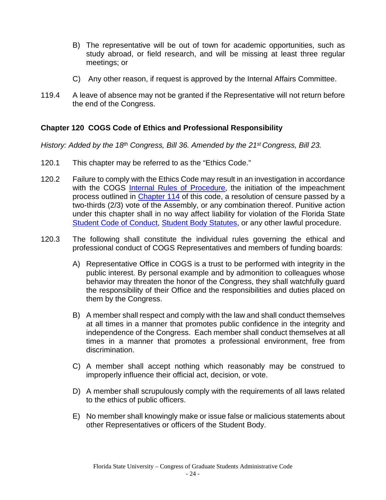- B) The representative will be out of town for academic opportunities, such as study abroad, or field research, and will be missing at least three regular meetings; or
- C) Any other reason, if request is approved by the Internal Affairs Committee.
- 119.4 A leave of absence may not be granted if the Representative will not return before the end of the Congress.

#### <span id="page-24-0"></span>**Chapter 120 COGS Code of Ethics and Professional Responsibility**

*History: Added by the 18th Congress, Bill 36. Amended by the 21st Congress, Bill 23.*

- 120.1 This chapter may be referred to as the "Ethics Code."
- 120.2 Failure to comply with the Ethics Code may result in an investigation in accordance with the COGS [Internal Rules of Procedure,](http://sga.fsu.edu/cogs/forms/COGS_Internal_Rules.pdf) the initiation of the impeachment process outlined in [Chapter 114](#page-18-0) of this code, a resolution of censure passed by a two-thirds (2/3) vote of the Assembly, or any combination thereof. Punitive action under this chapter shall in no way affect liability for violation of the Florida State [Student Code of Conduct,](http://srr.fsu.edu/Student-Conduct-Code) [Student Body Statutes,](http://sga.fsu.edu/statutes/statutes.pdf) or any other lawful procedure.
- 120.3 The following shall constitute the individual rules governing the ethical and professional conduct of COGS Representatives and members of funding boards:
	- A) Representative Office in COGS is a trust to be performed with integrity in the public interest. By personal example and by admonition to colleagues whose behavior may threaten the honor of the Congress, they shall watchfully guard the responsibility of their Office and the responsibilities and duties placed on them by the Congress.
	- B) A member shall respect and comply with the law and shall conduct themselves at all times in a manner that promotes public confidence in the integrity and independence of the Congress. Each member shall conduct themselves at all times in a manner that promotes a professional environment, free from discrimination.
	- C) A member shall accept nothing which reasonably may be construed to improperly influence their official act, decision, or vote.
	- D) A member shall scrupulously comply with the requirements of all laws related to the ethics of public officers.
	- E) No member shall knowingly make or issue false or malicious statements about other Representatives or officers of the Student Body.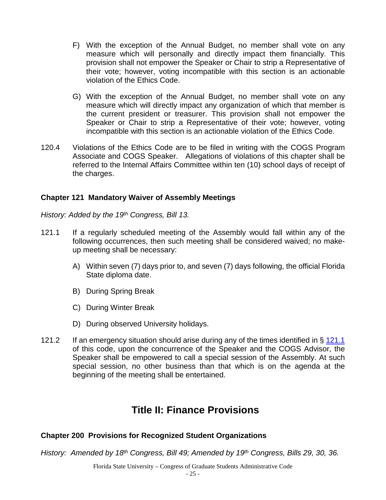- F) With the exception of the Annual Budget, no member shall vote on any measure which will personally and directly impact them financially. This provision shall not empower the Speaker or Chair to strip a Representative of their vote; however, voting incompatible with this section is an actionable violation of the Ethics Code.
- G) With the exception of the Annual Budget, no member shall vote on any measure which will directly impact any organization of which that member is the current president or treasurer. This provision shall not empower the Speaker or Chair to strip a Representative of their vote; however, voting incompatible with this section is an actionable violation of the Ethics Code.
- 120.4 Violations of the Ethics Code are to be filed in writing with the COGS Program Associate and COGS Speaker. Allegations of violations of this chapter shall be referred to the Internal Affairs Committee within ten (10) school days of receipt of the charges.

## <span id="page-25-0"></span>**Chapter 121 Mandatory Waiver of Assembly Meetings**

*History: Added by the 19th Congress, Bill 13.*

- <span id="page-25-3"></span>121.1 If a regularly scheduled meeting of the Assembly would fall within any of the following occurrences, then such meeting shall be considered waived; no makeup meeting shall be necessary:
	- A) Within seven (7) days prior to, and seven (7) days following, the official Florida State diploma date.
	- B) During Spring Break
	- C) During Winter Break
	- D) During observed University holidays.
- 121.2 If an emergency situation should arise during any of the times identified in  $\S$  [121.1](#page-25-3) of this code, upon the concurrence of the Speaker and the COGS Advisor, the Speaker shall be empowered to call a special session of the Assembly. At such special session, no other business than that which is on the agenda at the beginning of the meeting shall be entertained.

# **Title II: Finance Provisions**

# <span id="page-25-1"></span>**Chapter 200 Provisions for Recognized Student Organizations**

*History: Amended by 18th Congress, Bill 49; Amended by 19th Congress, Bills 29, 30, 36.*

<span id="page-25-2"></span>Florida State University – Congress of Graduate Students Administrative Code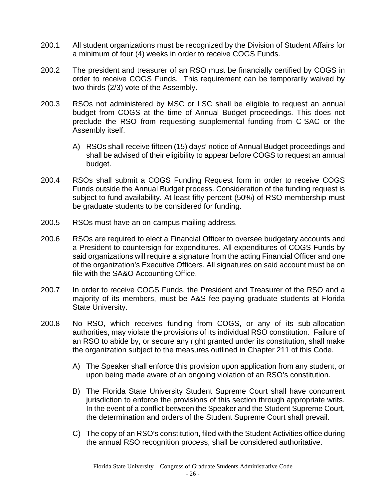- 200.1 All student organizations must be recognized by the Division of Student Affairs for a minimum of four (4) weeks in order to receive COGS Funds.
- 200.2 The president and treasurer of an RSO must be financially certified by COGS in order to receive COGS Funds. This requirement can be temporarily waived by two-thirds (2/3) vote of the Assembly.
- 200.3 RSOs not administered by MSC or LSC shall be eligible to request an annual budget from COGS at the time of Annual Budget proceedings. This does not preclude the RSO from requesting supplemental funding from C-SAC or the Assembly itself.
	- A) RSOs shall receive fifteen (15) days' notice of Annual Budget proceedings and shall be advised of their eligibility to appear before COGS to request an annual budget.
- 200.4 RSOs shall submit a COGS Funding Request form in order to receive COGS Funds outside the Annual Budget process. Consideration of the funding request is subject to fund availability. At least fifty percent (50%) of RSO membership must be graduate students to be considered for funding.
- 200.5 RSOs must have an on-campus mailing address.
- 200.6 RSOs are required to elect a Financial Officer to oversee budgetary accounts and a President to countersign for expenditures. All expenditures of COGS Funds by said organizations will require a signature from the acting Financial Officer and one of the organization's Executive Officers. All signatures on said account must be on file with the SA&O Accounting Office.
- 200.7 In order to receive COGS Funds, the President and Treasurer of the RSO and a majority of its members, must be A&S fee-paying graduate students at Florida State University.
- 200.8 No RSO, which receives funding from COGS, or any of its sub-allocation authorities, may violate the provisions of its individual RSO constitution. Failure of an RSO to abide by, or secure any right granted under its constitution, shall make the organization subject to the measures outlined in Chapter 211 of this Code.
	- A) The Speaker shall enforce this provision upon application from any student, or upon being made aware of an ongoing violation of an RSO's constitution.
	- B) The Florida State University Student Supreme Court shall have concurrent jurisdiction to enforce the provisions of this section through appropriate writs. In the event of a conflict between the Speaker and the Student Supreme Court, the determination and orders of the Student Supreme Court shall prevail.
	- C) The copy of an RSO's constitution, filed with the Student Activities office during the annual RSO recognition process, shall be considered authoritative.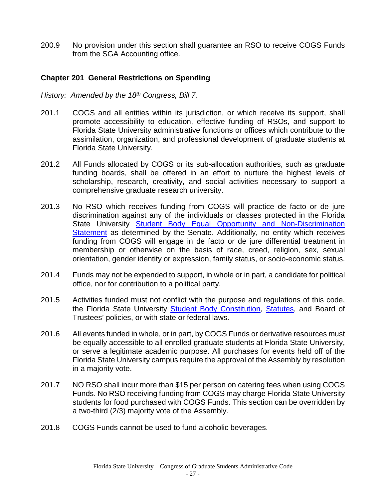200.9 No provision under this section shall guarantee an RSO to receive COGS Funds from the SGA Accounting office.

## <span id="page-27-0"></span>**Chapter 201 General Restrictions on Spending**

*History: Amended by the 18th Congress, Bill 7.*

- 201.1 COGS and all entities within its jurisdiction, or which receive its support, shall promote accessibility to education, effective funding of RSOs, and support to Florida State University administrative functions or offices which contribute to the assimilation, organization, and professional development of graduate students at Florida State University.
- 201.2 All Funds allocated by COGS or its sub-allocation authorities, such as graduate funding boards, shall be offered in an effort to nurture the highest levels of scholarship, research, creativity, and social activities necessary to support a comprehensive graduate research university.
- 201.3 No RSO which receives funding from COGS will practice de facto or de jure discrimination against any of the individuals or classes protected in the Florida State University [Student Body Equal Opportunity and Non-Discrimination](http://www.hr.fsu.edu/PDF/Publications/diversity/EEO_Statement.pdf)  [Statement](http://www.hr.fsu.edu/PDF/Publications/diversity/EEO_Statement.pdf) as determined by the Senate. Additionally, no entity which receives funding from COGS will engage in de facto or de jure differential treatment in membership or otherwise on the basis of race, creed, religion, sex, sexual orientation, gender identity or expression, family status, or socio-economic status.
- 201.4 Funds may not be expended to support, in whole or in part, a candidate for political office, nor for contribution to a political party.
- 201.5 Activities funded must not conflict with the purpose and regulations of this code, the Florida State University [Student Body Constitution,](http://sga.fsu.edu/PDF/CONSTITUTION_OF_THE_STUDENT_BODY.pdf) [Statutes,](http://sga.fsu.edu/statutes/statutes.pdf) and Board of Trustees' policies, or with state or federal laws.
- 201.6 All events funded in whole, or in part, by COGS Funds or derivative resources must be equally accessible to all enrolled graduate students at Florida State University, or serve a legitimate academic purpose. All purchases for events held off of the Florida State University campus require the approval of the Assembly by resolution in a majority vote.
- 201.7 NO RSO shall incur more than \$15 per person on catering fees when using COGS Funds. No RSO receiving funding from COGS may charge Florida State University students for food purchased with COGS Funds. This section can be overridden by a two-third (2/3) majority vote of the Assembly.
- 201.8 COGS Funds cannot be used to fund alcoholic beverages.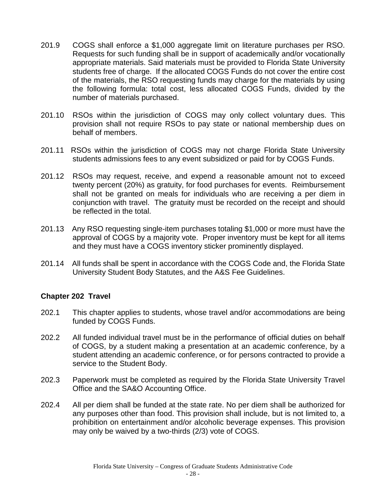- 201.9 COGS shall enforce a \$1,000 aggregate limit on literature purchases per RSO. Requests for such funding shall be in support of academically and/or vocationally appropriate materials. Said materials must be provided to Florida State University students free of charge. If the allocated COGS Funds do not cover the entire cost of the materials, the RSO requesting funds may charge for the materials by using the following formula: total cost, less allocated COGS Funds, divided by the number of materials purchased.
- 201.10 RSOs within the jurisdiction of COGS may only collect voluntary dues. This provision shall not require RSOs to pay state or national membership dues on behalf of members.
- 201.11 RSOs within the jurisdiction of COGS may not charge Florida State University students admissions fees to any event subsidized or paid for by COGS Funds.
- 201.12 RSOs may request, receive, and expend a reasonable amount not to exceed twenty percent (20%) as gratuity, for food purchases for events. Reimbursement shall not be granted on meals for individuals who are receiving a per diem in conjunction with travel. The gratuity must be recorded on the receipt and should be reflected in the total.
- 201.13 Any RSO requesting single-item purchases totaling \$1,000 or more must have the approval of COGS by a majority vote. Proper inventory must be kept for all items and they must have a COGS inventory sticker prominently displayed.
- 201.14 All funds shall be spent in accordance with the COGS Code and, the Florida State University Student Body Statutes, and the A&S Fee Guidelines.

#### <span id="page-28-0"></span>**Chapter 202 Travel**

- 202.1 This chapter applies to students, whose travel and/or accommodations are being funded by COGS Funds.
- 202.2 All funded individual travel must be in the performance of official duties on behalf of COGS, by a student making a presentation at an academic conference, by a student attending an academic conference, or for persons contracted to provide a service to the Student Body.
- 202.3 Paperwork must be completed as required by the Florida State University Travel Office and the SA&O Accounting Office.
- 202.4 All per diem shall be funded at the state rate. No per diem shall be authorized for any purposes other than food. This provision shall include, but is not limited to, a prohibition on entertainment and/or alcoholic beverage expenses. This provision may only be waived by a two-thirds (2/3) vote of COGS.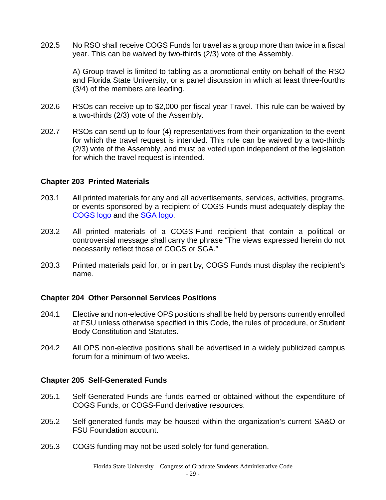202.5 No RSO shall receive COGS Funds for travel as a group more than twice in a fiscal year. This can be waived by two-thirds (2/3) vote of the Assembly.

> A) Group travel is limited to tabling as a promotional entity on behalf of the RSO and Florida State University, or a panel discussion in which at least three-fourths (3/4) of the members are leading.

- 202.6 RSOs can receive up to \$2,000 per fiscal year Travel. This rule can be waived by a two-thirds (2/3) vote of the Assembly.
- 202.7 RSOs can send up to four (4) representatives from their organization to the event for which the travel request is intended. This rule can be waived by a two-thirds (2/3) vote of the Assembly, and must be voted upon independent of the legislation for which the travel request is intended.

#### <span id="page-29-0"></span>**Chapter 203 Printed Materials**

- 203.1 All printed materials for any and all advertisements, services, activities, programs, or events sponsored by a recipient of COGS Funds must adequately display the [COGS logo](http://sga.fsu.edu/agency-logos/COGS.pdf) and the [SGA logo.](http://sga.fsu.edu/agency-logos/SGA_CMYK_OFFICIAL.pdf)
- 203.2 All printed materials of a COGS-Fund recipient that contain a political or controversial message shall carry the phrase "The views expressed herein do not necessarily reflect those of COGS or SGA."
- 203.3 Printed materials paid for, or in part by, COGS Funds must display the recipient's name.

#### <span id="page-29-1"></span>**Chapter 204 Other Personnel Services Positions**

- 204.1 Elective and non-elective OPS positions shall be held by persons currently enrolled at FSU unless otherwise specified in this Code, the rules of procedure, or Student Body Constitution and Statutes.
- 204.2 All OPS non-elective positions shall be advertised in a widely publicized campus forum for a minimum of two weeks.

#### <span id="page-29-2"></span>**Chapter 205 Self-Generated Funds**

- 205.1 Self-Generated Funds are funds earned or obtained without the expenditure of COGS Funds, or COGS-Fund derivative resources.
- 205.2 Self-generated funds may be housed within the organization's current SA&O or FSU Foundation account.
- 205.3 COGS funding may not be used solely for fund generation.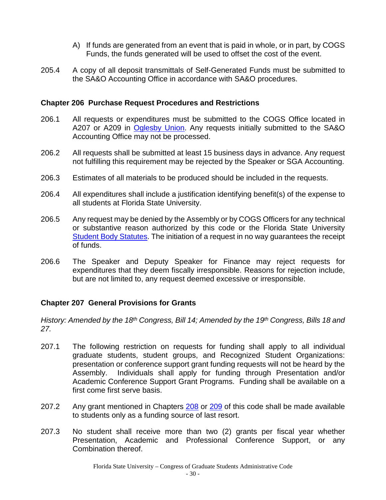- A) If funds are generated from an event that is paid in whole, or in part, by COGS Funds, the funds generated will be used to offset the cost of the event.
- 205.4 A copy of all deposit transmittals of Self-Generated Funds must be submitted to the SA&O Accounting Office in accordance with SA&O procedures.

## <span id="page-30-0"></span>**Chapter 206 Purchase Request Procedures and Restrictions**

- 206.1 All requests or expenditures must be submitted to the COGS Office located in A207 or A209 in [Oglesby Union.](https://union.fsu.edu/) Any requests initially submitted to the SA&O Accounting Office may not be processed.
- 206.2 All requests shall be submitted at least 15 business days in advance. Any request not fulfilling this requirement may be rejected by the Speaker or SGA Accounting.
- 206.3 Estimates of all materials to be produced should be included in the requests.
- 206.4 All expenditures shall include a justification identifying benefit(s) of the expense to all students at Florida State University.
- 206.5 Any request may be denied by the Assembly or by COGS Officers for any technical or substantive reason authorized by this code or the Florida State University [Student Body Statutes.](http://sga.fsu.edu/statutes/statutes.pdf) The initiation of a request in no way guarantees the receipt of funds.
- 206.6 The Speaker and Deputy Speaker for Finance may reject requests for expenditures that they deem fiscally irresponsible. Reasons for rejection include, but are not limited to, any request deemed excessive or irresponsible.

#### <span id="page-30-1"></span>**Chapter 207 General Provisions for Grants**

*History: Amended by the 18th Congress, Bill 14; Amended by the 19th Congress, Bills 18 and 27.*

- 207.1 The following restriction on requests for funding shall apply to all individual graduate students, student groups, and Recognized Student Organizations: presentation or conference support grant funding requests will not be heard by the Assembly. Individuals shall apply for funding through Presentation and/or Academic Conference Support Grant Programs. Funding shall be available on a first come first serve basis.
- 207.2 Any grant mentioned in Chapters [208](#page-31-0) or [209](#page-32-0) of this code shall be made available to students only as a funding source of last resort.
- 207.3 No student shall receive more than two (2) grants per fiscal year whether Presentation, Academic and Professional Conference Support, or any Combination thereof.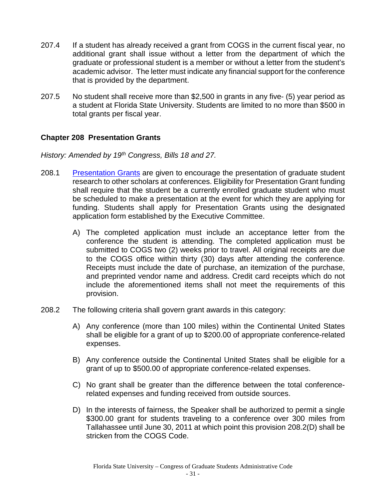- 207.4 If a student has already received a grant from COGS in the current fiscal year, no additional grant shall issue without a letter from the department of which the graduate or professional student is a member or without a letter from the student's academic advisor. The letter must indicate any financial support for the conference that is provided by the department.
- 207.5 No student shall receive more than \$2,500 in grants in any five- (5) year period as a student at Florida State University. Students are limited to no more than \$500 in total grants per fiscal year.

## <span id="page-31-0"></span>**Chapter 208 Presentation Grants**

*History: Amended by 19th Congress, Bills 18 and 27.*

- 208.1 [Presentation Grants](http://sga.fsu.edu/cogs-presentation.shtml) are given to encourage the presentation of graduate student research to other scholars at conferences. Eligibility for Presentation Grant funding shall require that the student be a currently enrolled graduate student who must be scheduled to make a presentation at the event for which they are applying for funding. Students shall apply for Presentation Grants using the designated application form established by the Executive Committee.
	- A) The completed application must include an acceptance letter from the conference the student is attending. The completed application must be submitted to COGS two (2) weeks prior to travel. All original receipts are due to the COGS office within thirty (30) days after attending the conference. Receipts must include the date of purchase, an itemization of the purchase, and preprinted vendor name and address. Credit card receipts which do not include the aforementioned items shall not meet the requirements of this provision.
- 208.2 The following criteria shall govern grant awards in this category:
	- A) Any conference (more than 100 miles) within the Continental United States shall be eligible for a grant of up to \$200.00 of appropriate conference-related expenses.
	- B) Any conference outside the Continental United States shall be eligible for a grant of up to \$500.00 of appropriate conference-related expenses.
	- C) No grant shall be greater than the difference between the total conferencerelated expenses and funding received from outside sources.
	- D) In the interests of fairness, the Speaker shall be authorized to permit a single \$300.00 grant for students traveling to a conference over 300 miles from Tallahassee until June 30, 2011 at which point this provision 208.2(D) shall be stricken from the COGS Code.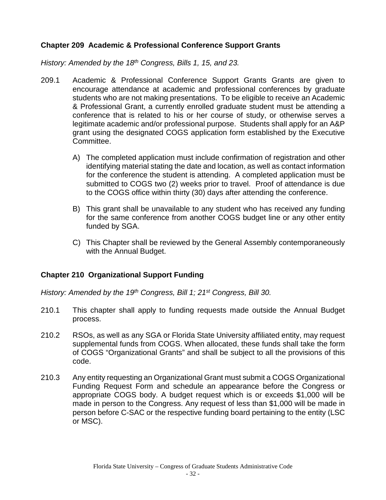# <span id="page-32-0"></span>**Chapter 209 Academic & Professional Conference Support Grants**

*History: Amended by the 18th Congress, Bills 1, 15, and 23.*

- 209.1 Academic & Professional Conference Support Grants Grants are given to encourage attendance at academic and professional conferences by graduate students who are not making presentations. To be eligible to receive an Academic & Professional Grant, a currently enrolled graduate student must be attending a conference that is related to his or her course of study, or otherwise serves a legitimate academic and/or professional purpose. Students shall apply for an A&P grant using the designated COGS application form established by the Executive Committee.
	- A) The completed application must include confirmation of registration and other identifying material stating the date and location, as well as contact information for the conference the student is attending. A completed application must be submitted to COGS two (2) weeks prior to travel. Proof of attendance is due to the COGS office within thirty (30) days after attending the conference.
	- B) This grant shall be unavailable to any student who has received any funding for the same conference from another COGS budget line or any other entity funded by SGA.
	- C) This Chapter shall be reviewed by the General Assembly contemporaneously with the Annual Budget.

#### <span id="page-32-1"></span>**Chapter 210 Organizational Support Funding**

*History: Amended by the 19th Congress, Bill 1; 21st Congress, Bill 30.*

- 210.1 This chapter shall apply to funding requests made outside the Annual Budget process.
- 210.2 RSOs, as well as any SGA or Florida State University affiliated entity, may request supplemental funds from COGS. When allocated, these funds shall take the form of COGS "Organizational Grants" and shall be subject to all the provisions of this code.
- 210.3 Any entity requesting an Organizational Grant must submit a COGS Organizational Funding Request Form and schedule an appearance before the Congress or appropriate COGS body. A budget request which is or exceeds \$1,000 will be made in person to the Congress. Any request of less than \$1,000 will be made in person before C-SAC or the respective funding board pertaining to the entity (LSC or MSC).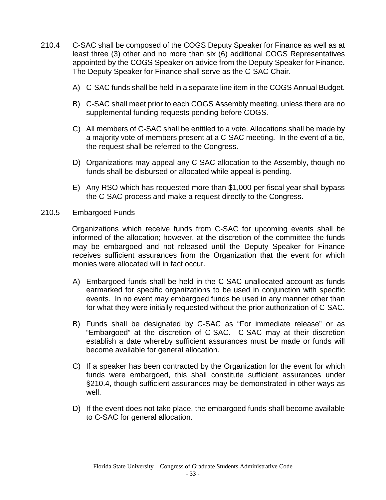- 210.4 C-SAC shall be composed of the COGS Deputy Speaker for Finance as well as at least three (3) other and no more than six (6) additional COGS Representatives appointed by the COGS Speaker on advice from the Deputy Speaker for Finance. The Deputy Speaker for Finance shall serve as the C-SAC Chair.
	- A) C-SAC funds shall be held in a separate line item in the COGS Annual Budget.
	- B) C-SAC shall meet prior to each COGS Assembly meeting, unless there are no supplemental funding requests pending before COGS.
	- C) All members of C-SAC shall be entitled to a vote. Allocations shall be made by a majority vote of members present at a C-SAC meeting. In the event of a tie, the request shall be referred to the Congress.
	- D) Organizations may appeal any C-SAC allocation to the Assembly, though no funds shall be disbursed or allocated while appeal is pending.
	- E) Any RSO which has requested more than \$1,000 per fiscal year shall bypass the C-SAC process and make a request directly to the Congress.
- 210.5 Embargoed Funds

Organizations which receive funds from C-SAC for upcoming events shall be informed of the allocation; however, at the discretion of the committee the funds may be embargoed and not released until the Deputy Speaker for Finance receives sufficient assurances from the Organization that the event for which monies were allocated will in fact occur.

- A) Embargoed funds shall be held in the C-SAC unallocated account as funds earmarked for specific organizations to be used in conjunction with specific events. In no event may embargoed funds be used in any manner other than for what they were initially requested without the prior authorization of C-SAC.
- B) Funds shall be designated by C-SAC as "For immediate release" or as "Embargoed" at the discretion of C-SAC. C-SAC may at their discretion establish a date whereby sufficient assurances must be made or funds will become available for general allocation.
- C) If a speaker has been contracted by the Organization for the event for which funds were embargoed, this shall constitute sufficient assurances under §210.4, though sufficient assurances may be demonstrated in other ways as well.
- D) If the event does not take place, the embargoed funds shall become available to C-SAC for general allocation.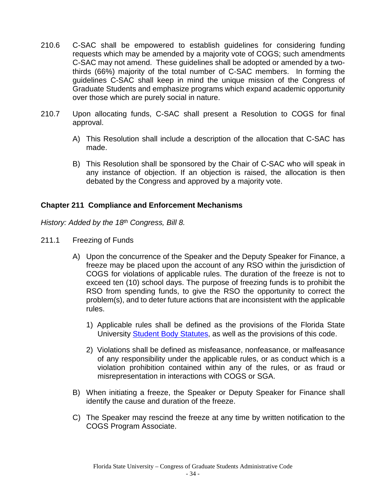- 210.6 C-SAC shall be empowered to establish guidelines for considering funding requests which may be amended by a majority vote of COGS; such amendments C-SAC may not amend. These guidelines shall be adopted or amended by a twothirds (66%) majority of the total number of C-SAC members. In forming the guidelines C-SAC shall keep in mind the unique mission of the Congress of Graduate Students and emphasize programs which expand academic opportunity over those which are purely social in nature.
- 210.7 Upon allocating funds, C-SAC shall present a Resolution to COGS for final approval.
	- A) This Resolution shall include a description of the allocation that C-SAC has made.
	- B) This Resolution shall be sponsored by the Chair of C-SAC who will speak in any instance of objection. If an objection is raised, the allocation is then debated by the Congress and approved by a majority vote.

## <span id="page-34-0"></span>**Chapter 211 Compliance and Enforcement Mechanisms**

*History: Added by the 18th Congress, Bill 8.*

- 211.1 Freezing of Funds
	- A) Upon the concurrence of the Speaker and the Deputy Speaker for Finance, a freeze may be placed upon the account of any RSO within the jurisdiction of COGS for violations of applicable rules. The duration of the freeze is not to exceed ten (10) school days. The purpose of freezing funds is to prohibit the RSO from spending funds, to give the RSO the opportunity to correct the problem(s), and to deter future actions that are inconsistent with the applicable rules.
		- 1) Applicable rules shall be defined as the provisions of the Florida State University [Student Body Statutes,](http://sga.fsu.edu/statutes/statutes.pdf) as well as the provisions of this code.
		- 2) Violations shall be defined as misfeasance, nonfeasance, or malfeasance of any responsibility under the applicable rules, or as conduct which is a violation prohibition contained within any of the rules, or as fraud or misrepresentation in interactions with COGS or SGA.
	- B) When initiating a freeze, the Speaker or Deputy Speaker for Finance shall identify the cause and duration of the freeze.
	- C) The Speaker may rescind the freeze at any time by written notification to the COGS Program Associate.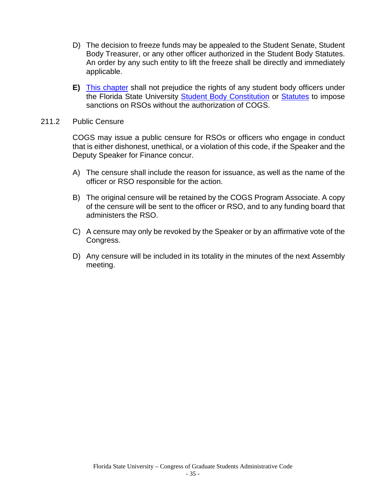- D) The decision to freeze funds may be appealed to the Student Senate, Student Body Treasurer, or any other officer authorized in the Student Body Statutes. An order by any such entity to lift the freeze shall be directly and immediately applicable.
- **E)** This chapter shall not prejudice the rights of any student body officers under the Florida State University [Student Body Constitution](http://sga.fsu.edu/PDF/CONSTITUTION_OF_THE_STUDENT_BODY.pdf) or [Statutes](http://sga.fsu.edu/statutes/statutes.pdf) to impose sanctions on RSOs without the authorization of COGS.
- 211.2 Public Censure

COGS may issue a public censure for RSOs or officers who engage in conduct that is either dishonest, unethical, or a violation of this code, if the Speaker and the Deputy Speaker for Finance concur.

- A) The censure shall include the reason for issuance, as well as the name of the officer or RSO responsible for the action.
- B) The original censure will be retained by the COGS Program Associate. A copy of the censure will be sent to the officer or RSO, and to any funding board that administers the RSO.
- C) A censure may only be revoked by the Speaker or by an affirmative vote of the Congress.
- D) Any censure will be included in its totality in the minutes of the next Assembly meeting.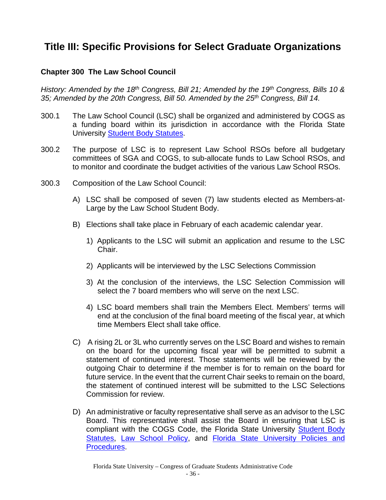# <span id="page-36-1"></span><span id="page-36-0"></span>**Title III: Specific Provisions for Select Graduate Organizations**

## **Chapter 300 The Law School Council**

*History: Amended by the 18th Congress, Bill 21; Amended by the 19th Congress, Bills 10 & 35; Amended by the 20th Congress, Bill 50. Amended by the 25th Congress, Bill 14.*

- 300.1 The Law School Council (LSC) shall be organized and administered by COGS as a funding board within its jurisdiction in accordance with the Florida State University [Student Body Statutes.](http://sga.fsu.edu/statutes/statutes.pdf)
- 300.2 The purpose of LSC is to represent Law School RSOs before all budgetary committees of SGA and COGS, to sub-allocate funds to Law School RSOs, and to monitor and coordinate the budget activities of the various Law School RSOs.
- 300.3 Composition of the Law School Council:
	- A) LSC shall be composed of seven (7) law students elected as Members-at-Large by the Law School Student Body.
	- B) Elections shall take place in February of each academic calendar year.
		- 1) Applicants to the LSC will submit an application and resume to the LSC Chair.
		- 2) Applicants will be interviewed by the LSC Selections Commission
		- 3) At the conclusion of the interviews, the LSC Selection Commission will select the 7 board members who will serve on the next LSC.
		- 4) LSC board members shall train the Members Elect. Members' terms will end at the conclusion of the final board meeting of the fiscal year, at which time Members Elect shall take office.
	- C) A rising 2L or 3L who currently serves on the LSC Board and wishes to remain on the board for the upcoming fiscal year will be permitted to submit a statement of continued interest. Those statements will be reviewed by the outgoing Chair to determine if the member is for to remain on the board for future service. In the event that the current Chair seeks to remain on the board, the statement of continued interest will be submitted to the LSC Selections Commission for review.
	- D) An administrative or faculty representative shall serve as an advisor to the LSC Board. This representative shall assist the Board in ensuring that LSC is compliant with the COGS Code, the Florida State University [Student Body](http://sga.fsu.edu/statutes/statutes.pdf)  [Statutes,](http://sga.fsu.edu/statutes/statutes.pdf) [Law School Policy,](http://law.fsu.edu/current_students/rules/index.html) and [Florida State University Policies and](http://policies.vpfa.fsu.edu/)  [Procedures.](http://policies.vpfa.fsu.edu/)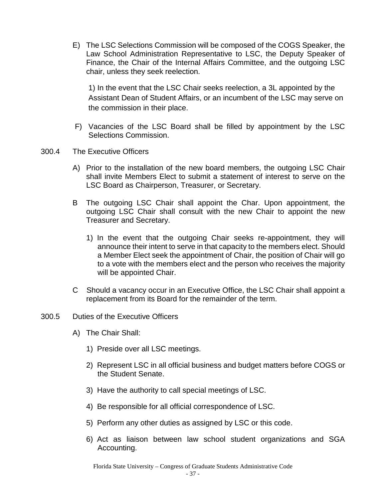E) The LSC Selections Commission will be composed of the COGS Speaker, the Law School Administration Representative to LSC, the Deputy Speaker of Finance, the Chair of the Internal Affairs Committee, and the outgoing LSC chair, unless they seek reelection.

1) In the event that the LSC Chair seeks reelection, a 3L appointed by the Assistant Dean of Student Affairs, or an incumbent of the LSC may serve on the commission in their place.

- F) Vacancies of the LSC Board shall be filled by appointment by the LSC Selections Commission.
- 300.4 The Executive Officers
	- A) Prior to the installation of the new board members, the outgoing LSC Chair shall invite Members Elect to submit a statement of interest to serve on the LSC Board as Chairperson, Treasurer, or Secretary.
	- B The outgoing LSC Chair shall appoint the Char. Upon appointment, the outgoing LSC Chair shall consult with the new Chair to appoint the new Treasurer and Secretary.
		- 1) In the event that the outgoing Chair seeks re-appointment, they will announce their intent to serve in that capacity to the members elect. Should a Member Elect seek the appointment of Chair, the position of Chair will go to a vote with the members elect and the person who receives the majority will be appointed Chair.
	- C Should a vacancy occur in an Executive Office, the LSC Chair shall appoint a replacement from its Board for the remainder of the term.
- 300.5 Duties of the Executive Officers
	- A) The Chair Shall:
		- 1) Preside over all LSC meetings.
		- 2) Represent LSC in all official business and budget matters before COGS or the Student Senate.
		- 3) Have the authority to call special meetings of LSC.
		- 4) Be responsible for all official correspondence of LSC.
		- 5) Perform any other duties as assigned by LSC or this code.
		- 6) Act as liaison between law school student organizations and SGA Accounting.

Florida State University – Congress of Graduate Students Administrative Code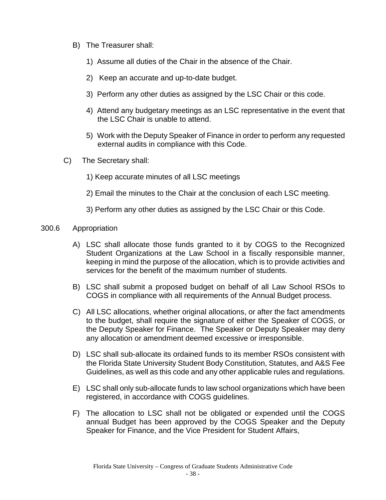- B) The Treasurer shall:
	- 1) Assume all duties of the Chair in the absence of the Chair.
	- 2) Keep an accurate and up-to-date budget.
	- 3) Perform any other duties as assigned by the LSC Chair or this code.
	- 4) Attend any budgetary meetings as an LSC representative in the event that the LSC Chair is unable to attend.
	- 5) Work with the Deputy Speaker of Finance in order to perform any requested external audits in compliance with this Code.
- C) The Secretary shall:
	- 1) Keep accurate minutes of all LSC meetings
	- 2) Email the minutes to the Chair at the conclusion of each LSC meeting.
	- 3) Perform any other duties as assigned by the LSC Chair or this Code.

#### 300.6 Appropriation

- A) LSC shall allocate those funds granted to it by COGS to the Recognized Student Organizations at the Law School in a fiscally responsible manner, keeping in mind the purpose of the allocation, which is to provide activities and services for the benefit of the maximum number of students.
- B) LSC shall submit a proposed budget on behalf of all Law School RSOs to COGS in compliance with all requirements of the Annual Budget process.
- C) All LSC allocations, whether original allocations, or after the fact amendments to the budget, shall require the signature of either the Speaker of COGS, or the Deputy Speaker for Finance. The Speaker or Deputy Speaker may deny any allocation or amendment deemed excessive or irresponsible.
- D) LSC shall sub-allocate its ordained funds to its member RSOs consistent with the Florida State University Student Body Constitution, Statutes, and A&S Fee Guidelines, as well as this code and any other applicable rules and regulations.
- E) LSC shall only sub-allocate funds to law school organizations which have been registered, in accordance with COGS guidelines.
- F) The allocation to LSC shall not be obligated or expended until the COGS annual Budget has been approved by the COGS Speaker and the Deputy Speaker for Finance, and the Vice President for Student Affairs,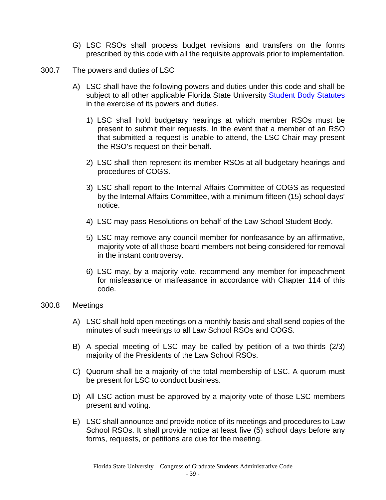- G) LSC RSOs shall process budget revisions and transfers on the forms prescribed by this code with all the requisite approvals prior to implementation.
- 300.7 The powers and duties of LSC
	- A) LSC shall have the following powers and duties under this code and shall be subject to all other applicable Florida State University [Student Body Statutes](http://sga.fsu.edu/statutes/statutes.pdf) in the exercise of its powers and duties.
		- 1) LSC shall hold budgetary hearings at which member RSOs must be present to submit their requests. In the event that a member of an RSO that submitted a request is unable to attend, the LSC Chair may present the RSO's request on their behalf.
		- 2) LSC shall then represent its member RSOs at all budgetary hearings and procedures of COGS.
		- 3) LSC shall report to the Internal Affairs Committee of COGS as requested by the Internal Affairs Committee, with a minimum fifteen (15) school days' notice.
		- 4) LSC may pass Resolutions on behalf of the Law School Student Body.
		- 5) LSC may remove any council member for nonfeasance by an affirmative, majority vote of all those board members not being considered for removal in the instant controversy.
		- 6) LSC may, by a majority vote, recommend any member for impeachment for misfeasance or malfeasance in accordance with Chapter 114 of this code.

#### 300.8 Meetings

- A) LSC shall hold open meetings on a monthly basis and shall send copies of the minutes of such meetings to all Law School RSOs and COGS.
- B) A special meeting of LSC may be called by petition of a two-thirds (2/3) majority of the Presidents of the Law School RSOs.
- C) Quorum shall be a majority of the total membership of LSC. A quorum must be present for LSC to conduct business.
- D) All LSC action must be approved by a majority vote of those LSC members present and voting.
- E) LSC shall announce and provide notice of its meetings and procedures to Law School RSOs. It shall provide notice at least five (5) school days before any forms, requests, or petitions are due for the meeting.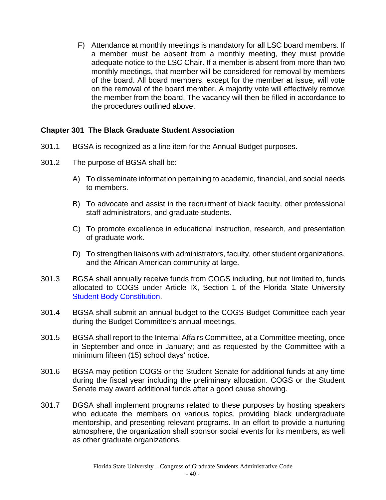F) Attendance at monthly meetings is mandatory for all LSC board members. If a member must be absent from a monthly meeting, they must provide adequate notice to the LSC Chair. If a member is absent from more than two monthly meetings, that member will be considered for removal by members of the board. All board members, except for the member at issue, will vote on the removal of the board member. A majority vote will effectively remove the member from the board. The vacancy will then be filled in accordance to the procedures outlined above.

#### <span id="page-40-0"></span>**Chapter 301 The Black Graduate Student Association**

- 301.1 BGSA is recognized as a line item for the Annual Budget purposes.
- 301.2 The purpose of BGSA shall be:
	- A) To disseminate information pertaining to academic, financial, and social needs to members.
	- B) To advocate and assist in the recruitment of black faculty, other professional staff administrators, and graduate students.
	- C) To promote excellence in educational instruction, research, and presentation of graduate work.
	- D) To strengthen liaisons with administrators, faculty, other student organizations, and the African American community at large.
- 301.3 BGSA shall annually receive funds from COGS including, but not limited to, funds allocated to COGS under Article IX, Section 1 of the Florida State University [Student Body Constitution.](http://sga.fsu.edu/PDF/CONSTITUTION_OF_THE_STUDENT_BODY.pdf)
- 301.4 BGSA shall submit an annual budget to the COGS Budget Committee each year during the Budget Committee's annual meetings.
- 301.5 BGSA shall report to the Internal Affairs Committee, at a Committee meeting, once in September and once in January; and as requested by the Committee with a minimum fifteen (15) school days' notice.
- 301.6 BGSA may petition COGS or the Student Senate for additional funds at any time during the fiscal year including the preliminary allocation. COGS or the Student Senate may award additional funds after a good cause showing.
- 301.7 BGSA shall implement programs related to these purposes by hosting speakers who educate the members on various topics, providing black undergraduate mentorship, and presenting relevant programs. In an effort to provide a nurturing atmosphere, the organization shall sponsor social events for its members, as well as other graduate organizations.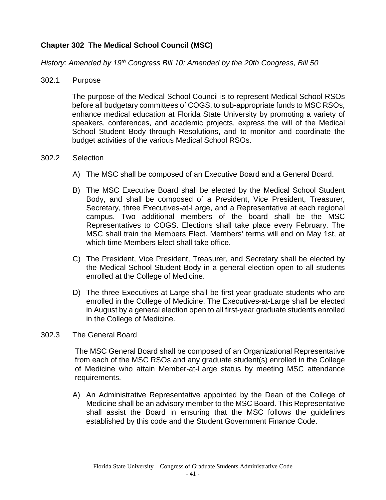# <span id="page-41-0"></span>**Chapter 302 The Medical School Council (MSC)**

*History: Amended by 19th Congress Bill 10; Amended by the 20th Congress, Bill 50*

#### 302.1 Purpose

The purpose of the Medical School Council is to represent Medical School RSOs before all budgetary committees of COGS, to sub-appropriate funds to MSC RSOs, enhance medical education at Florida State University by promoting a variety of speakers, conferences, and academic projects, express the will of the Medical School Student Body through Resolutions, and to monitor and coordinate the budget activities of the various Medical School RSOs.

#### 302.2 Selection

- A) The MSC shall be composed of an Executive Board and a General Board.
- B) The MSC Executive Board shall be elected by the Medical School Student Body, and shall be composed of a President, Vice President, Treasurer, Secretary, three Executives-at-Large, and a Representative at each regional campus. Two additional members of the board shall be the MSC Representatives to COGS. Elections shall take place every February. The MSC shall train the Members Elect. Members' terms will end on May 1st, at which time Members Elect shall take office.
- C) The President, Vice President, Treasurer, and Secretary shall be elected by the Medical School Student Body in a general election open to all students enrolled at the College of Medicine.
- D) The three Executives-at-Large shall be first-year graduate students who are enrolled in the College of Medicine. The Executives-at-Large shall be elected in August by a general election open to all first-year graduate students enrolled in the College of Medicine.

#### 302.3 The General Board

The MSC General Board shall be composed of an Organizational Representative from each of the MSC RSOs and any graduate student(s) enrolled in the College of Medicine who attain Member-at-Large status by meeting MSC attendance requirements.

A) An Administrative Representative appointed by the Dean of the College of Medicine shall be an advisory member to the MSC Board. This Representative shall assist the Board in ensuring that the MSC follows the guidelines established by this code and the Student Government Finance Code.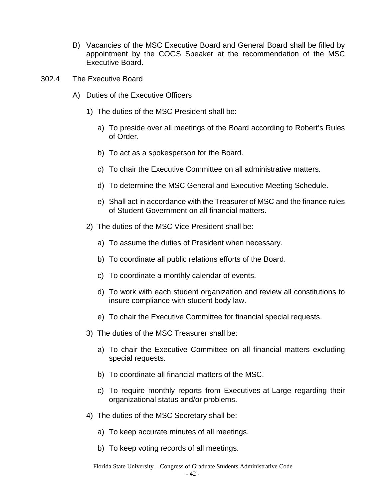- B) Vacancies of the MSC Executive Board and General Board shall be filled by appointment by the COGS Speaker at the recommendation of the MSC Executive Board.
- 302.4 The Executive Board
	- A) Duties of the Executive Officers
		- 1) The duties of the MSC President shall be:
			- a) To preside over all meetings of the Board according to Robert's Rules of Order.
			- b) To act as a spokesperson for the Board.
			- c) To chair the Executive Committee on all administrative matters.
			- d) To determine the MSC General and Executive Meeting Schedule.
			- e) Shall act in accordance with the Treasurer of MSC and the finance rules of Student Government on all financial matters.
		- 2) The duties of the MSC Vice President shall be:
			- a) To assume the duties of President when necessary.
			- b) To coordinate all public relations efforts of the Board.
			- c) To coordinate a monthly calendar of events.
			- d) To work with each student organization and review all constitutions to insure compliance with student body law.
			- e) To chair the Executive Committee for financial special requests.
		- 3) The duties of the MSC Treasurer shall be:
			- a) To chair the Executive Committee on all financial matters excluding special requests.
			- b) To coordinate all financial matters of the MSC.
			- c) To require monthly reports from Executives-at-Large regarding their organizational status and/or problems.
		- 4) The duties of the MSC Secretary shall be:
			- a) To keep accurate minutes of all meetings.
			- b) To keep voting records of all meetings.

Florida State University – Congress of Graduate Students Administrative Code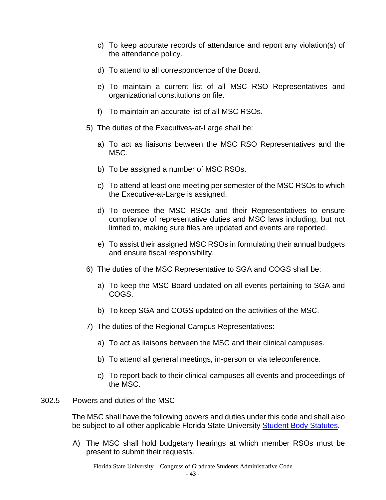- c) To keep accurate records of attendance and report any violation(s) of the attendance policy.
- d) To attend to all correspondence of the Board.
- e) To maintain a current list of all MSC RSO Representatives and organizational constitutions on file.
- f) To maintain an accurate list of all MSC RSOs.
- 5) The duties of the Executives-at-Large shall be:
	- a) To act as liaisons between the MSC RSO Representatives and the MSC.
	- b) To be assigned a number of MSC RSOs.
	- c) To attend at least one meeting per semester of the MSC RSOs to which the Executive-at-Large is assigned.
	- d) To oversee the MSC RSOs and their Representatives to ensure compliance of representative duties and MSC laws including, but not limited to, making sure files are updated and events are reported.
	- e) To assist their assigned MSC RSOs in formulating their annual budgets and ensure fiscal responsibility.
- 6) The duties of the MSC Representative to SGA and COGS shall be:
	- a) To keep the MSC Board updated on all events pertaining to SGA and COGS.
	- b) To keep SGA and COGS updated on the activities of the MSC.
- 7) The duties of the Regional Campus Representatives:
	- a) To act as liaisons between the MSC and their clinical campuses.
	- b) To attend all general meetings, in-person or via teleconference.
	- c) To report back to their clinical campuses all events and proceedings of the MSC.
- 302.5 Powers and duties of the MSC

The MSC shall have the following powers and duties under this code and shall also be subject to all other applicable Florida State University [Student Body Statutes.](http://sga.fsu.edu/statutes/statutes.pdf)

A) The MSC shall hold budgetary hearings at which member RSOs must be present to submit their requests.

Florida State University – Congress of Graduate Students Administrative Code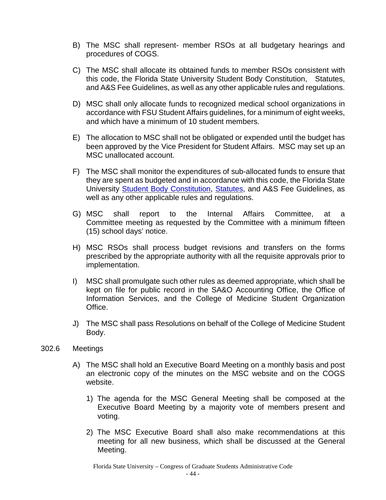- B) The MSC shall represent- member RSOs at all budgetary hearings and procedures of COGS.
- C) The MSC shall allocate its obtained funds to member RSOs consistent with this code, the Florida State University Student Body Constitution, Statutes, and A&S Fee Guidelines, as well as any other applicable rules and regulations.
- D) MSC shall only allocate funds to recognized medical school organizations in accordance with FSU Student Affairs guidelines, for a minimum of eight weeks, and which have a minimum of 10 student members.
- E) The allocation to MSC shall not be obligated or expended until the budget has been approved by the Vice President for Student Affairs. MSC may set up an MSC unallocated account.
- F) The MSC shall monitor the expenditures of sub-allocated funds to ensure that they are spent as budgeted and in accordance with this code, the Florida State University [Student Body Constitution,](http://sga.fsu.edu/PDF/CONSTITUTION_OF_THE_STUDENT_BODY.pdf) [Statutes,](http://sga.fsu.edu/statutes/statutes.pdf) and A&S Fee Guidelines, as well as any other applicable rules and regulations.
- G) MSC shall report to the Internal Affairs Committee, at a Committee meeting as requested by the Committee with a minimum fifteen (15) school days' notice.
- H) MSC RSOs shall process budget revisions and transfers on the forms prescribed by the appropriate authority with all the requisite approvals prior to implementation.
- I) MSC shall promulgate such other rules as deemed appropriate, which shall be kept on file for public record in the SA&O Accounting Office, the Office of Information Services, and the College of Medicine Student Organization Office.
- J) The MSC shall pass Resolutions on behalf of the College of Medicine Student Body.
- 302.6 Meetings
	- A) The MSC shall hold an Executive Board Meeting on a monthly basis and post an electronic copy of the minutes on the MSC website and on the COGS website.
		- 1) The agenda for the MSC General Meeting shall be composed at the Executive Board Meeting by a majority vote of members present and voting.
		- 2) The MSC Executive Board shall also make recommendations at this meeting for all new business, which shall be discussed at the General Meeting.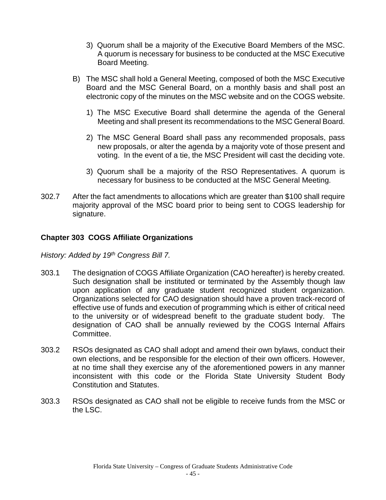- 3) Quorum shall be a majority of the Executive Board Members of the MSC. A quorum is necessary for business to be conducted at the MSC Executive Board Meeting.
- B) The MSC shall hold a General Meeting, composed of both the MSC Executive Board and the MSC General Board, on a monthly basis and shall post an electronic copy of the minutes on the MSC website and on the COGS website.
	- 1) The MSC Executive Board shall determine the agenda of the General Meeting and shall present its recommendations to the MSC General Board.
	- 2) The MSC General Board shall pass any recommended proposals, pass new proposals, or alter the agenda by a majority vote of those present and voting. In the event of a tie, the MSC President will cast the deciding vote.
	- 3) Quorum shall be a majority of the RSO Representatives. A quorum is necessary for business to be conducted at the MSC General Meeting.
- 302.7 After the fact amendments to allocations which are greater than \$100 shall require majority approval of the MSC board prior to being sent to COGS leadership for signature.

# <span id="page-45-0"></span>**Chapter 303 COGS Affiliate Organizations**

*History: Added by 19th Congress Bill 7.*

- 303.1 The designation of COGS Affiliate Organization (CAO hereafter) is hereby created. Such designation shall be instituted or terminated by the Assembly though law upon application of any graduate student recognized student organization. Organizations selected for CAO designation should have a proven track-record of effective use of funds and execution of programming which is either of critical need to the university or of widespread benefit to the graduate student body. The designation of CAO shall be annually reviewed by the COGS Internal Affairs Committee.
- 303.2 RSOs designated as CAO shall adopt and amend their own bylaws, conduct their own elections, and be responsible for the election of their own officers. However, at no time shall they exercise any of the aforementioned powers in any manner inconsistent with this code or the Florida State University Student Body Constitution and Statutes.
- 303.3 RSOs designated as CAO shall not be eligible to receive funds from the MSC or the LSC.